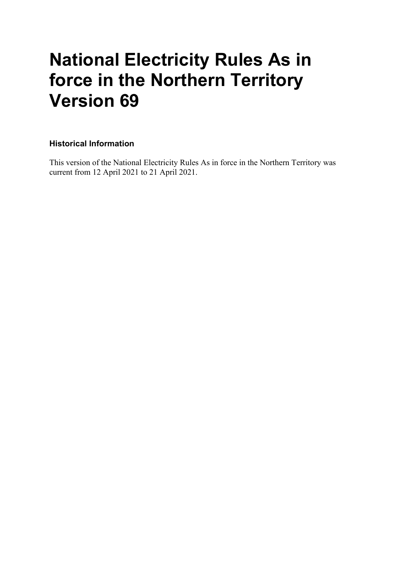# **National Electricity Rules As in force in the Northern Territory Version 69**

#### **Historical Information**

This version of the National Electricity Rules As in force in the Northern Territory was current from 12 April 2021 to 21 April 2021.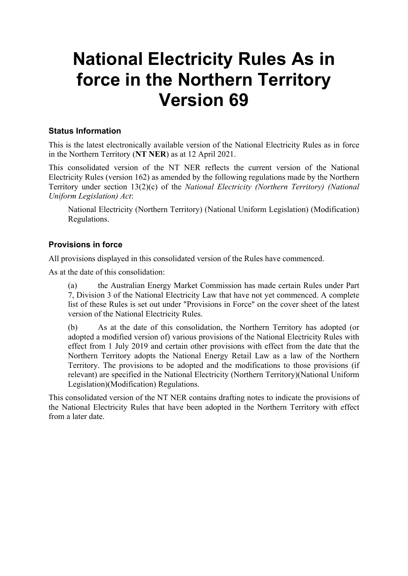# **National Electricity Rules As in force in the Northern Territory Version 69**

#### **Status Information**

This is the latest electronically available version of the National Electricity Rules as in force in the Northern Territory (**NT NER**) as at 12 April 2021.

This consolidated version of the NT NER reflects the current version of the National Electricity Rules (version 162) as amended by the following regulations made by the Northern Territory under section 13(2)(c) of the *National Electricity (Northern Territory) (National Uniform Legislation) Act*:

National Electricity (Northern Territory) (National Uniform Legislation) (Modification) Regulations.

#### **Provisions in force**

All provisions displayed in this consolidated version of the Rules have commenced.

As at the date of this consolidation:

(a) the Australian Energy Market Commission has made certain Rules under Part 7, Division 3 of the National Electricity Law that have not yet commenced. A complete list of these Rules is set out under "Provisions in Force" on the cover sheet of the latest version of the National Electricity Rules.

(b) As at the date of this consolidation, the Northern Territory has adopted (or adopted a modified version of) various provisions of the National Electricity Rules with effect from 1 July 2019 and certain other provisions with effect from the date that the Northern Territory adopts the National Energy Retail Law as a law of the Northern Territory. The provisions to be adopted and the modifications to those provisions (if relevant) are specified in the National Electricity (Northern Territory)(National Uniform Legislation)(Modification) Regulations.

This consolidated version of the NT NER contains drafting notes to indicate the provisions of the National Electricity Rules that have been adopted in the Northern Territory with effect from a later date.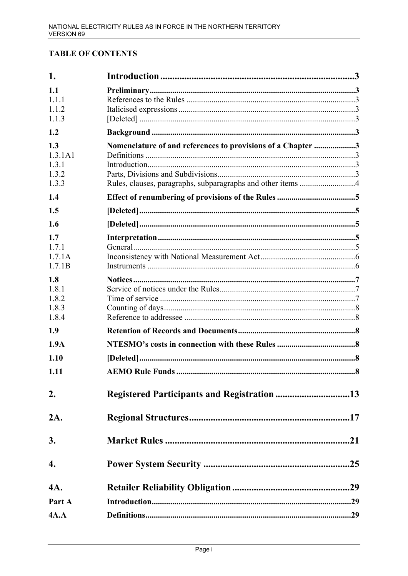### **TABLE OF CONTENTS**

| 1.               |                                                             |  |
|------------------|-------------------------------------------------------------|--|
| 1.1              |                                                             |  |
| 1.1.1            |                                                             |  |
| 1.1.2            |                                                             |  |
| 1.1.3            |                                                             |  |
| 1.2              |                                                             |  |
| 1.3              | Nomenclature of and references to provisions of a Chapter 3 |  |
| 1.3.1A1<br>1.3.1 |                                                             |  |
| 1.3.2            |                                                             |  |
| 1.3.3            |                                                             |  |
| 1.4              |                                                             |  |
| 1.5              |                                                             |  |
| 1.6              |                                                             |  |
| 1.7              |                                                             |  |
| 1.7.1            |                                                             |  |
| 1.7.1A           |                                                             |  |
| 1.7.1B           |                                                             |  |
| 1.8              |                                                             |  |
| 1.8.1<br>1.8.2   |                                                             |  |
| 1.8.3            |                                                             |  |
| 1.8.4            |                                                             |  |
| 1.9              |                                                             |  |
| 1.9A             |                                                             |  |
| 1.10             |                                                             |  |
| 1.11             |                                                             |  |
| 2.               |                                                             |  |
| 2A.              |                                                             |  |
| 3.               |                                                             |  |
| 4.               |                                                             |  |
| 4A.              |                                                             |  |
| Part A           |                                                             |  |
| 4A.A             |                                                             |  |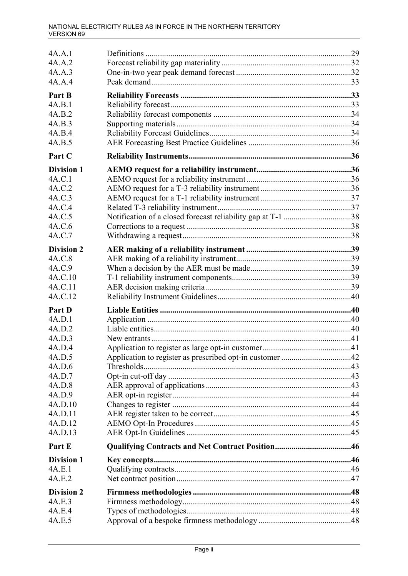| 4A.A.1            |  |
|-------------------|--|
| 4A.A.2            |  |
| 4A.A.3            |  |
| 4A.A.4            |  |
| Part B            |  |
| 4A.B.1            |  |
| 4A.B.2            |  |
| 4A.B.3            |  |
| 4A.B.4            |  |
| 4A.B.5            |  |
| Part C            |  |
| <b>Division 1</b> |  |
| 4A.C.1            |  |
| 4A.C.2            |  |
| 4A.C.3            |  |
| 4A.C.4            |  |
| 4A.C.5            |  |
| 4A.C.6            |  |
| 4A.C.7            |  |
| <b>Division 2</b> |  |
| 4A.C.8            |  |
| 4A.C.9            |  |
| 4A.C.10           |  |
| 4A.C.11           |  |
| 4A.C.12           |  |
| Part D            |  |
| 4A.D.1            |  |
| 4A.D.2            |  |
| 4A.D.3            |  |
| 4A.D.4            |  |
| 4A.D.5            |  |
| 4A.D.6            |  |
| 4A.D.7            |  |
| 4A.D.8            |  |
| 4A.D.9            |  |
| 4A.D.10           |  |
| 4A.D.11           |  |
| 4A.D.12           |  |
| 4A.D.13           |  |
| Part E            |  |
| <b>Division 1</b> |  |
| 4A.E.1            |  |
| 4A.E.2            |  |
| <b>Division 2</b> |  |
| 4A.E.3            |  |
| 4A.E.4            |  |
| 4A.E.5            |  |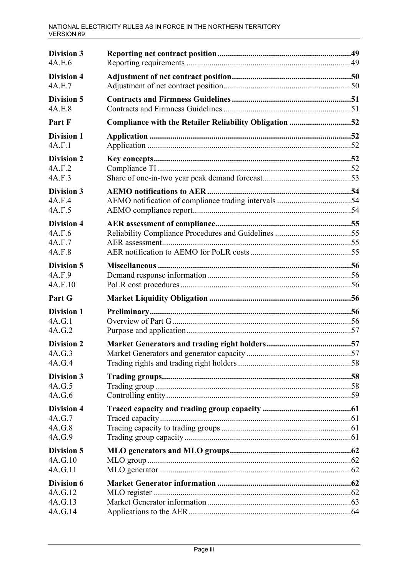| <b>Division 3</b><br>4A.E.6                     |                                                        |  |
|-------------------------------------------------|--------------------------------------------------------|--|
| <b>Division 4</b><br>4A.E.7                     |                                                        |  |
| <b>Division 5</b><br>4A.E.8                     |                                                        |  |
| Part F                                          | Compliance with the Retailer Reliability Obligation 52 |  |
| <b>Division 1</b><br>4A.F.1                     |                                                        |  |
| <b>Division 2</b><br>4A.F.2<br>4A.F.3           |                                                        |  |
| <b>Division 3</b><br>4A.F.4<br>4A.F.5           |                                                        |  |
| <b>Division 4</b><br>4A.F.6<br>4A.F.7<br>4A.F.8 |                                                        |  |
| <b>Division 5</b><br>4A.F.9<br>4A.F.10          |                                                        |  |
| Part G                                          |                                                        |  |
| <b>Division 1</b><br>4A.G.1<br>4A.G.2           |                                                        |  |
| <b>Division 2</b><br>4A.G.3<br>4A.G.4           |                                                        |  |
| <b>Division 3</b><br>4A.G.5<br>4A.G.6           |                                                        |  |
| <b>Division 4</b><br>4A.G.7<br>4A.G.8<br>4A.G.9 |                                                        |  |
| <b>Division 5</b><br>4A.G.10<br>4A.G.11         |                                                        |  |
| Division 6<br>4A.G.12<br>4A.G.13<br>4A.G.14     |                                                        |  |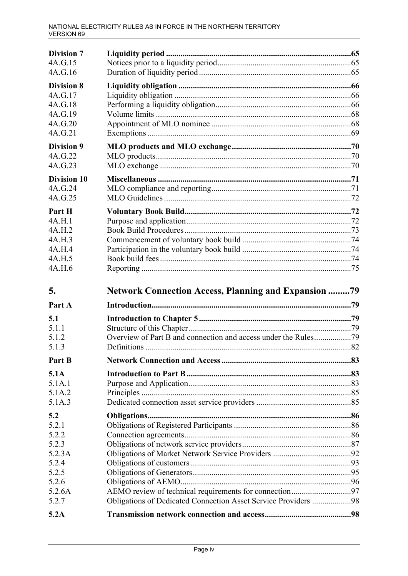| <b>Division 7</b><br>4A.G.15<br>4A.G.16                                  |                                                                |  |
|--------------------------------------------------------------------------|----------------------------------------------------------------|--|
| <b>Division 8</b><br>4A.G.17<br>4A.G.18<br>4A.G.19<br>4A.G.20<br>4A.G.21 |                                                                |  |
| <b>Division 9</b><br>4A.G.22<br>4A.G.23                                  |                                                                |  |
| <b>Division 10</b><br>4A.G.24<br>4A.G.25                                 |                                                                |  |
| Part H<br>4A.H.1<br>4A.H.2<br>4A.H.3<br>4A.H.4<br>4A.H.5<br>4A.H.6       |                                                                |  |
| 5.                                                                       | <b>Network Connection Access, Planning and Expansion 79</b>    |  |
| Part A                                                                   |                                                                |  |
| 5.1<br>5.1.1<br>5.1.2<br>5.1.3                                           |                                                                |  |
| Part B                                                                   |                                                                |  |
| 5.1A<br>5.1A.1<br>5.1A.2<br>5.1A.3                                       |                                                                |  |
| 5.2<br>5.2.1<br>5.2.2<br>5.2.3                                           |                                                                |  |
| 5.2.3A<br>5.2.4<br>5.2.5<br>5.2.6                                        |                                                                |  |
| 5.2.6A<br>5.2.7<br>5.2A                                                  | Obligations of Dedicated Connection Asset Service Providers 98 |  |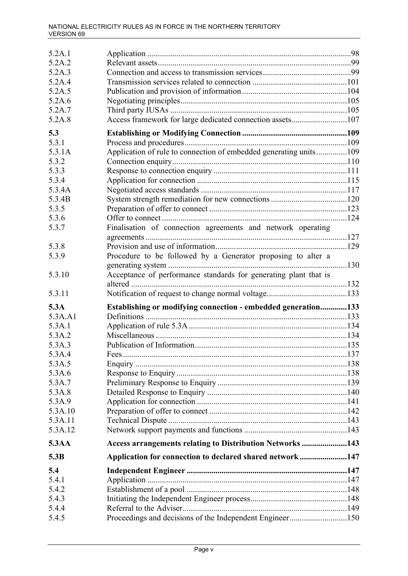| 5.2A.1  |                                                                   |  |
|---------|-------------------------------------------------------------------|--|
| 5.2A.2  |                                                                   |  |
| 5.2A.3  |                                                                   |  |
| 5.2A.4  |                                                                   |  |
| 5.2A.5  |                                                                   |  |
| 5.2A.6  |                                                                   |  |
| 5.2A.7  |                                                                   |  |
| 5.2A.8  | Access framework for large dedicated connection assets107         |  |
| 5.3     |                                                                   |  |
| 5.3.1   |                                                                   |  |
| 5.3.1A  | Application of rule to connection of embedded generating units109 |  |
| 5.3.2   |                                                                   |  |
| 5.3.3   |                                                                   |  |
| 5.3.4   |                                                                   |  |
| 5.3.4A  |                                                                   |  |
| 5.3.4B  |                                                                   |  |
| 5.3.5   |                                                                   |  |
| 5.3.6   |                                                                   |  |
| 5.3.7   | Finalisation of connection agreements and network operating       |  |
|         |                                                                   |  |
| 5.3.8   |                                                                   |  |
| 5.3.9   | Procedure to be followed by a Generator proposing to alter a      |  |
| 5.3.10  | Acceptance of performance standards for generating plant that is  |  |
|         |                                                                   |  |
|         |                                                                   |  |
| 5.3.11  |                                                                   |  |
| 5.3A    |                                                                   |  |
| 5.3A.A1 | Establishing or modifying connection - embedded generation133     |  |
| 5.3A.1  |                                                                   |  |
| 5.3A.2  |                                                                   |  |
| 5.3A.3  |                                                                   |  |
| 5.3A.4  |                                                                   |  |
| 5.3A.5  |                                                                   |  |
| 5.3A.6  |                                                                   |  |
| 5.3A.7  |                                                                   |  |
| 5.3A.8  |                                                                   |  |
| 5.3A.9  |                                                                   |  |
| 5.3A.10 |                                                                   |  |
| 5.3A.11 |                                                                   |  |
| 5.3A.12 |                                                                   |  |
| 5.3AA   | Access arrangements relating to Distribution Networks 143         |  |
| 5.3B    | Application for connection to declared shared network147          |  |
| 5.4     |                                                                   |  |
| 5.4.1   |                                                                   |  |
| 5.4.2   |                                                                   |  |
| 5.4.3   |                                                                   |  |
| 5.4.4   |                                                                   |  |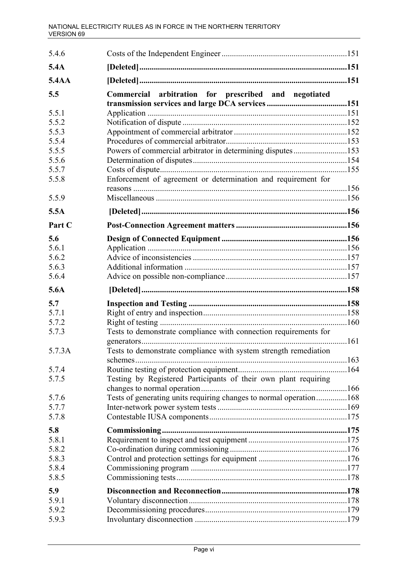| 5.4.6        |                                                                    |  |
|--------------|--------------------------------------------------------------------|--|
| 5.4A         |                                                                    |  |
| <b>5.4AA</b> |                                                                    |  |
| 5.5          | Commercial arbitration for prescribed and negotiated               |  |
| 5.5.1        |                                                                    |  |
| 5.5.2        |                                                                    |  |
| 5.5.3        |                                                                    |  |
| 5.5.4        |                                                                    |  |
| 5.5.5        | Powers of commercial arbitrator in determining disputes153         |  |
| 5.5.6        |                                                                    |  |
| 5.5.7        |                                                                    |  |
| 5.5.8        | Enforcement of agreement or determination and requirement for      |  |
|              |                                                                    |  |
| 5.5.9        |                                                                    |  |
| 5.5A         |                                                                    |  |
| Part C       |                                                                    |  |
| 5.6          |                                                                    |  |
| 5.6.1        |                                                                    |  |
| 5.6.2        |                                                                    |  |
| 5.6.3        |                                                                    |  |
| 5.6.4        |                                                                    |  |
| 5.6A         |                                                                    |  |
| 5.7          |                                                                    |  |
| 5.7.1        |                                                                    |  |
| 5.7.2        |                                                                    |  |
| 5.7.3        | Tests to demonstrate compliance with connection requirements for   |  |
| 5.7.3A       | Tests to demonstrate compliance with system strength remediation   |  |
| 5.7.4        |                                                                    |  |
| 5.7.5        | Testing by Registered Participants of their own plant requiring    |  |
| 5.7.6        | Tests of generating units requiring changes to normal operation168 |  |
| 5.7.7        |                                                                    |  |
| 5.7.8        |                                                                    |  |
| 5.8          |                                                                    |  |
| 5.8.1        |                                                                    |  |
| 5.8.2        |                                                                    |  |
| 5.8.3        |                                                                    |  |
| 5.8.4        |                                                                    |  |
| 5.8.5        |                                                                    |  |
|              |                                                                    |  |
| 5.9          |                                                                    |  |
| 5.9.1        |                                                                    |  |
| 5.9.2        |                                                                    |  |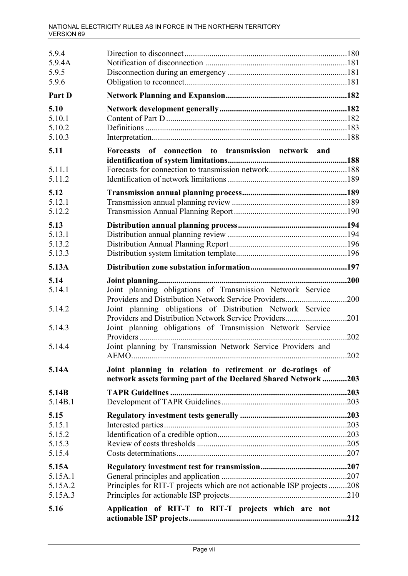| 5.9.4<br>5.9.4A<br>5.9.5<br>5.9.6            |                                                                                                                                                                                                                                                                                                                                                                        |                             |
|----------------------------------------------|------------------------------------------------------------------------------------------------------------------------------------------------------------------------------------------------------------------------------------------------------------------------------------------------------------------------------------------------------------------------|-----------------------------|
| Part D                                       |                                                                                                                                                                                                                                                                                                                                                                        |                             |
| 5.10<br>5.10.1<br>5.10.2<br>5.10.3           |                                                                                                                                                                                                                                                                                                                                                                        |                             |
| 5.11                                         | Forecasts of connection to transmission network and                                                                                                                                                                                                                                                                                                                    |                             |
| 5.11.1<br>5.11.2                             |                                                                                                                                                                                                                                                                                                                                                                        |                             |
| 5.12<br>5.12.1<br>5.12.2                     |                                                                                                                                                                                                                                                                                                                                                                        |                             |
| 5.13<br>5.13.1<br>5.13.2<br>5.13.3           |                                                                                                                                                                                                                                                                                                                                                                        |                             |
| 5.13A                                        |                                                                                                                                                                                                                                                                                                                                                                        |                             |
| 5.14<br>5.14.1<br>5.14.2<br>5.14.3<br>5.14.4 | Joint planning obligations of Transmission Network Service<br>Providers and Distribution Network Service Providers<br>Joint planning obligations of Distribution Network Service<br>Providers and Distribution Network Service Providers<br>Joint planning obligations of Transmission Network Service<br>Joint planning by Transmission Network Service Providers and | 200<br>.200<br>.201<br>.202 |
| 5.14A                                        | Joint planning in relation to retirement or de-ratings of<br>network assets forming part of the Declared Shared Network203                                                                                                                                                                                                                                             |                             |
| 5.14B<br>5.14B.1                             |                                                                                                                                                                                                                                                                                                                                                                        |                             |
| 5.15<br>5.15.1<br>5.15.2<br>5.15.3<br>5.15.4 |                                                                                                                                                                                                                                                                                                                                                                        |                             |
| 5.15A<br>5.15A.1<br>5.15A.2<br>5.15A.3       | Principles for RIT-T projects which are not actionable ISP projects 208                                                                                                                                                                                                                                                                                                |                             |
| 5.16                                         | Application of RIT-T to RIT-T projects which are not                                                                                                                                                                                                                                                                                                                   |                             |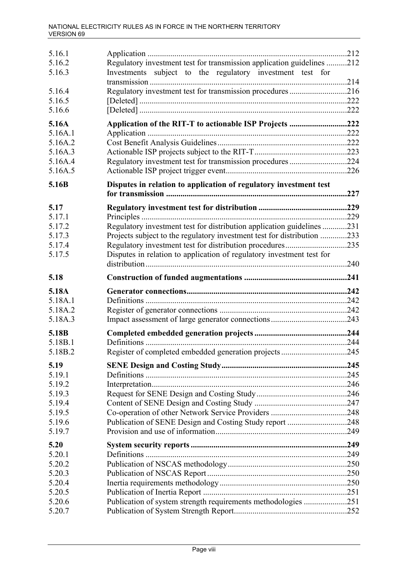| 5.16.1             |                                                                                                                                     |      |
|--------------------|-------------------------------------------------------------------------------------------------------------------------------------|------|
| 5.16.2<br>5.16.3   | Regulatory investment test for transmission application guidelines 212<br>Investments subject to the regulatory investment test for |      |
| 5.16.4             | Regulatory investment test for transmission procedures216                                                                           |      |
| 5.16.5             |                                                                                                                                     |      |
| 5.16.6             |                                                                                                                                     |      |
| 5.16A              | Application of the RIT-T to actionable ISP Projects 222                                                                             |      |
| 5.16A.1            |                                                                                                                                     |      |
| 5.16A.2            |                                                                                                                                     |      |
| 5.16A.3            |                                                                                                                                     |      |
| 5.16A.4<br>5.16A.5 | Regulatory investment test for transmission procedures 224                                                                          |      |
| 5.16B              | Disputes in relation to application of regulatory investment test                                                                   |      |
|                    |                                                                                                                                     | .227 |
| 5.17               |                                                                                                                                     |      |
| 5.17.1             |                                                                                                                                     |      |
| 5.17.2             | Regulatory investment test for distribution application guidelines 231                                                              |      |
| 5.17.3             | Projects subject to the regulatory investment test for distribution 233                                                             |      |
| 5.17.4             | Regulatory investment test for distribution procedures235                                                                           |      |
| 5.17.5             | Disputes in relation to application of regulatory investment test for                                                               |      |
| 5.18               |                                                                                                                                     |      |
| 5.18A              |                                                                                                                                     |      |
| 5.18A.1            |                                                                                                                                     |      |
| 5.18A.2            |                                                                                                                                     |      |
| 5.18A.3            |                                                                                                                                     |      |
| 5.18B              |                                                                                                                                     |      |
| 5.18B.1            |                                                                                                                                     |      |
| 5.18B.2            |                                                                                                                                     |      |
|                    | Register of completed embedded generation projects                                                                                  | .245 |
| 5.19               |                                                                                                                                     |      |
| 5.19.1             |                                                                                                                                     |      |
| 5.19.2             |                                                                                                                                     |      |
| 5.19.3             |                                                                                                                                     |      |
| 5.19.4             |                                                                                                                                     |      |
| 5.19.5             |                                                                                                                                     |      |
| 5.19.6<br>5.19.7   | Publication of SENE Design and Costing Study report 248                                                                             |      |
| 5.20               |                                                                                                                                     |      |
| 5.20.1             |                                                                                                                                     |      |
| 5.20.2             |                                                                                                                                     |      |
| 5.20.3             |                                                                                                                                     |      |
| 5.20.4             |                                                                                                                                     |      |
| 5.20.5             |                                                                                                                                     |      |
| 5.20.6<br>5.20.7   | Publication of system strength requirements methodologies 251                                                                       |      |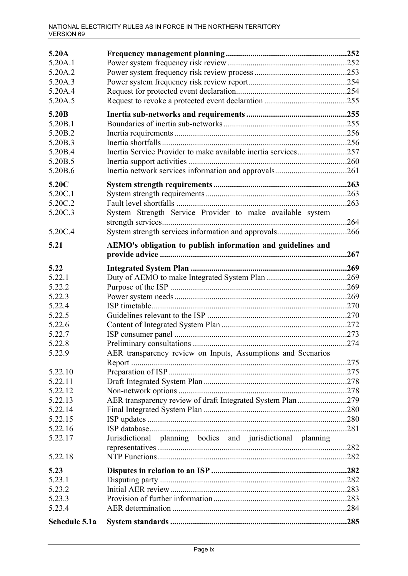| 5.20A         |                                                                |  |
|---------------|----------------------------------------------------------------|--|
| 5.20A.1       |                                                                |  |
| 5.20A.2       |                                                                |  |
| 5.20A.3       |                                                                |  |
| 5.20A.4       |                                                                |  |
| 5.20A.5       |                                                                |  |
|               |                                                                |  |
| 5.20B         |                                                                |  |
| 5.20B.1       |                                                                |  |
| 5.20B.2       |                                                                |  |
| 5.20B.3       |                                                                |  |
| 5.20B.4       | Inertia Service Provider to make available inertia services257 |  |
| 5.20B.5       |                                                                |  |
| 5.20B.6       |                                                                |  |
| 5.20C         |                                                                |  |
| 5.20C.1       |                                                                |  |
| 5.20C.2       |                                                                |  |
| 5.20C.3       | System Strength Service Provider to make available system      |  |
|               |                                                                |  |
| 5.20C.4       | System strength services information and approvals266          |  |
| 5.21          | AEMO's obligation to publish information and guidelines and    |  |
|               |                                                                |  |
|               |                                                                |  |
| 5.22          |                                                                |  |
| 5.22.1        |                                                                |  |
| 5.22.2        |                                                                |  |
| 5.22.3        |                                                                |  |
| 5.22.4        |                                                                |  |
| 5.22.5        |                                                                |  |
| 5.22.6        |                                                                |  |
| 5.22.7        |                                                                |  |
| 5.22.8        |                                                                |  |
| 5.22.9        | AER transparency review on Inputs, Assumptions and Scenarios   |  |
|               |                                                                |  |
| 5.22.10       |                                                                |  |
| 5.22.11       |                                                                |  |
| 5.22.12       |                                                                |  |
| 5.22.13       | AER transparency review of draft Integrated System Plan 279    |  |
| 5.22.14       |                                                                |  |
| 5.22.15       |                                                                |  |
| 5.22.16       |                                                                |  |
| 5.22.17       | Jurisdictional planning bodies and jurisdictional planning     |  |
|               |                                                                |  |
| 5.22.18       |                                                                |  |
| 5.23          |                                                                |  |
| 5.23.1        |                                                                |  |
| 5.23.2        |                                                                |  |
| 5.23.3        |                                                                |  |
| 5.23.4        |                                                                |  |
| Schedule 5.1a |                                                                |  |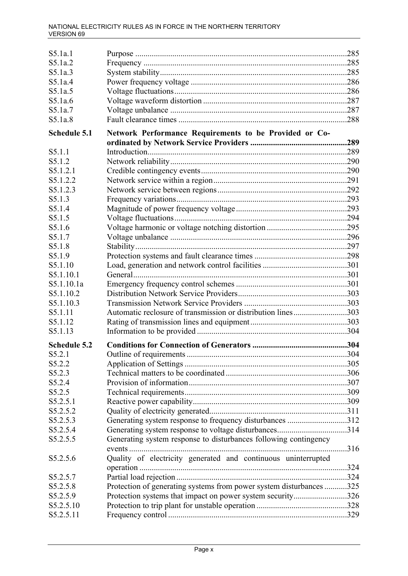| S5.1a.1             |                                                                     |  |
|---------------------|---------------------------------------------------------------------|--|
| S5.1a.2             |                                                                     |  |
| S5.1a.3             |                                                                     |  |
| S5.1a.4             |                                                                     |  |
| S5.1a.5             |                                                                     |  |
| S5.1a.6             |                                                                     |  |
| S5.1a.7             |                                                                     |  |
| S5.1a.8             |                                                                     |  |
|                     |                                                                     |  |
| <b>Schedule 5.1</b> | Network Performance Requirements to be Provided or Co-              |  |
| S5.1.1              |                                                                     |  |
| S5.1.2              |                                                                     |  |
| S5.1.2.1            |                                                                     |  |
| S5.1.2.2            |                                                                     |  |
| S5.1.2.3            |                                                                     |  |
| S5.1.3              |                                                                     |  |
| S5.1.4              |                                                                     |  |
| S5.1.5              |                                                                     |  |
| S5.1.6              |                                                                     |  |
| S5.1.7              |                                                                     |  |
| S5.1.8              |                                                                     |  |
| S5.1.9              |                                                                     |  |
| S5.1.10             |                                                                     |  |
| S5.1.10.1           |                                                                     |  |
| S5.1.10.1a          |                                                                     |  |
| S5.1.10.2           |                                                                     |  |
| S5.1.10.3           |                                                                     |  |
| S5.1.11             | Automatic reclosure of transmission or distribution lines303        |  |
| S5.1.12             |                                                                     |  |
| S5.1.13             |                                                                     |  |
|                     |                                                                     |  |
| <b>Schedule 5.2</b> |                                                                     |  |
| S5.2.1              |                                                                     |  |
| S5.2.2              |                                                                     |  |
| S5.2.3              |                                                                     |  |
| S5.2.4              |                                                                     |  |
| S5.2.5              |                                                                     |  |
| S5.2.5.1            |                                                                     |  |
| S5.2.5.2            |                                                                     |  |
| S5.2.5.3            | Generating system response to frequency disturbances 312            |  |
| S5.2.5.4            |                                                                     |  |
| S5.2.5.5            | Generating system response to disturbances following contingency    |  |
|                     |                                                                     |  |
| S5.2.5.6            | Quality of electricity generated and continuous uninterrupted       |  |
|                     |                                                                     |  |
| S5.2.5.7            |                                                                     |  |
| S5.2.5.8            | Protection of generating systems from power system disturbances 325 |  |
| S5.2.5.9            | Protection systems that impact on power system security326          |  |
| S5.2.5.10           |                                                                     |  |
| S5.2.5.11           |                                                                     |  |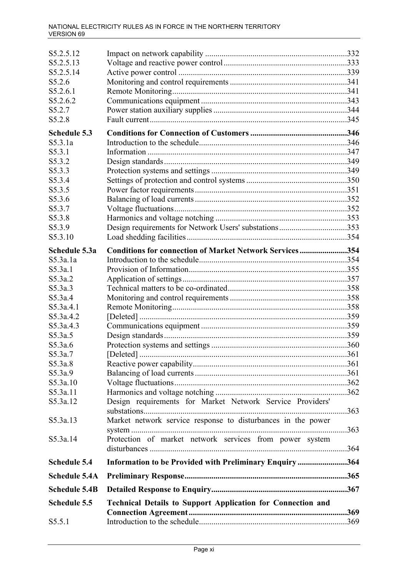| S5.2.5.12            |                                                                    |  |
|----------------------|--------------------------------------------------------------------|--|
| S5.2.5.13            |                                                                    |  |
| S5.2.5.14            |                                                                    |  |
| S5.2.6               |                                                                    |  |
| S5.2.6.1             |                                                                    |  |
| S5.2.6.2             |                                                                    |  |
| S5.2.7               |                                                                    |  |
| S5.2.8               |                                                                    |  |
| <b>Schedule 5.3</b>  |                                                                    |  |
| S5.3.1a              |                                                                    |  |
| S5.3.1               |                                                                    |  |
| S5.3.2               |                                                                    |  |
| S5.3.3               |                                                                    |  |
| S5.3.4               |                                                                    |  |
| S5.3.5               |                                                                    |  |
| S5.3.6               |                                                                    |  |
| S5.3.7               |                                                                    |  |
| S5.3.8               |                                                                    |  |
| S5.3.9               | Design requirements for Network Users' substations353              |  |
| S5.3.10              |                                                                    |  |
| Schedule 5.3a        | <b>Conditions for connection of Market Network Services354</b>     |  |
| S5.3a.1a             |                                                                    |  |
| S5.3a.1              |                                                                    |  |
| S5.3a.2              |                                                                    |  |
| S5.3a.3              |                                                                    |  |
| S5.3a.4              |                                                                    |  |
| S5.3a.4.1            |                                                                    |  |
| S5.3a.4.2            |                                                                    |  |
| S5.3a.4.3            |                                                                    |  |
| S5.3a.5              |                                                                    |  |
| S5.3a.6              |                                                                    |  |
| S5.3a.7              |                                                                    |  |
| S5.3a.8              |                                                                    |  |
| S5.3a.9              |                                                                    |  |
| S5.3a.10             |                                                                    |  |
| S5.3a.11             |                                                                    |  |
| S5.3a.12             | Design requirements for Market Network Service Providers'          |  |
|                      |                                                                    |  |
| S5.3a.13             | Market network service response to disturbances in the power       |  |
| S5.3a.14             | Protection of market network services from power system            |  |
|                      |                                                                    |  |
| <b>Schedule 5.4</b>  | Information to be Provided with Preliminary Enquiry364             |  |
| <b>Schedule 5.4A</b> |                                                                    |  |
| <b>Schedule 5.4B</b> |                                                                    |  |
| <b>Schedule 5.5</b>  | <b>Technical Details to Support Application for Connection and</b> |  |
|                      |                                                                    |  |
| S5.5.1               |                                                                    |  |
|                      |                                                                    |  |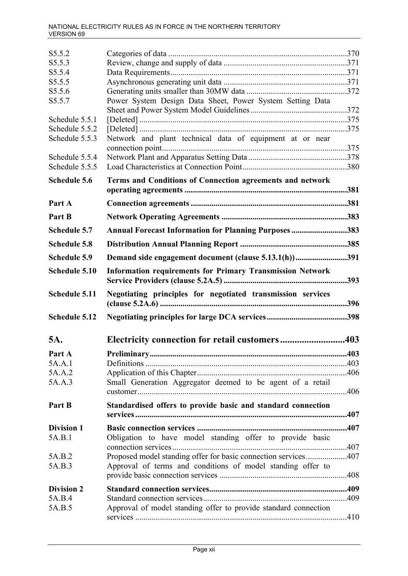| S5.5.2               |                                                                  |      |
|----------------------|------------------------------------------------------------------|------|
| S5.5.3               |                                                                  |      |
| S5.5.4               |                                                                  |      |
| S5.5.5               |                                                                  |      |
| S5.5.6               |                                                                  |      |
| S5.5.7               | Power System Design Data Sheet, Power System Setting Data        |      |
|                      |                                                                  |      |
| Schedule 5.5.1       |                                                                  |      |
| Schedule 5.5.2       |                                                                  |      |
| Schedule 5.5.3       | Network and plant technical data of equipment at or near         |      |
|                      |                                                                  |      |
| Schedule 5.5.4       |                                                                  |      |
| Schedule 5.5.5       |                                                                  |      |
| <b>Schedule 5.6</b>  | Terms and Conditions of Connection agreements and network        |      |
|                      |                                                                  | .381 |
| Part A               |                                                                  |      |
| Part B               |                                                                  |      |
|                      |                                                                  |      |
| <b>Schedule 5.7</b>  | Annual Forecast Information for Planning Purposes 383            |      |
| <b>Schedule 5.8</b>  |                                                                  |      |
| <b>Schedule 5.9</b>  | Demand side engagement document (clause 5.13.1(h))               | 391  |
| Schedule 5.10        | <b>Information requirements for Primary Transmission Network</b> | .393 |
|                      |                                                                  |      |
| Schedule 5.11        | Negotiating principles for negotiated transmission services      | .396 |
| <b>Schedule 5.12</b> |                                                                  |      |
|                      |                                                                  |      |
| 5A.                  | Electricity connection for retail customers403                   |      |
| Part A               |                                                                  | .403 |
| 5A.A.1               |                                                                  |      |
| 5A.A.2               |                                                                  |      |
| 5A.A.3               | Small Generation Aggregator deemed to be agent of a retail       |      |
|                      |                                                                  |      |
| Part B               | Standardised offers to provide basic and standard connection     |      |
|                      |                                                                  |      |
| <b>Division 1</b>    |                                                                  |      |
| 5A.B.1               |                                                                  |      |
|                      | Obligation to have model standing offer to provide basic         |      |
|                      |                                                                  |      |
| 5A.B.2<br>5A.B.3     | Proposed model standing offer for basic connection services407   |      |
|                      | Approval of terms and conditions of model standing offer to      |      |
|                      |                                                                  |      |
| <b>Division 2</b>    |                                                                  |      |
| 5A.B.4               |                                                                  |      |
| 5A.B.5               | Approval of model standing offer to provide standard connection  |      |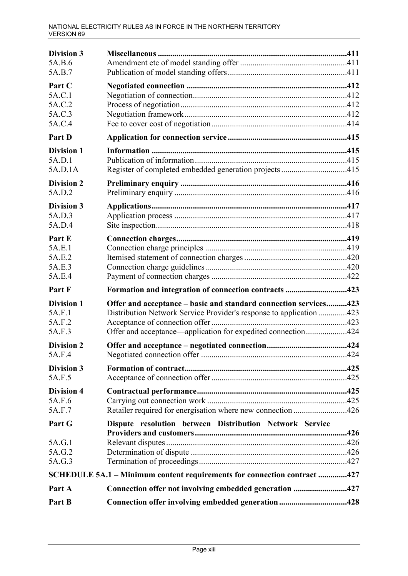| <b>Division 3</b><br>5A.B.6<br>5A.B.7           |                                                                                                                                                                                                         |  |
|-------------------------------------------------|---------------------------------------------------------------------------------------------------------------------------------------------------------------------------------------------------------|--|
| Part C<br>5A.C.1<br>5A.C.2<br>5A.C.3<br>5A.C.4  |                                                                                                                                                                                                         |  |
| Part D                                          |                                                                                                                                                                                                         |  |
| <b>Division 1</b><br>5A.D.1<br>5A.D.1A          | Register of completed embedded generation projects 415                                                                                                                                                  |  |
| <b>Division 2</b><br>5A.D.2                     |                                                                                                                                                                                                         |  |
| <b>Division 3</b><br>5A.D.3<br>5A.D.4           |                                                                                                                                                                                                         |  |
| Part E<br>5A.E.1<br>5A.E.2<br>5A.E.3<br>5A.E.4  |                                                                                                                                                                                                         |  |
| Part F                                          | Formation and integration of connection contracts 423                                                                                                                                                   |  |
| <b>Division 1</b><br>5A.F.1<br>5A.F.2<br>5A.F.3 | Offer and acceptance – basic and standard connection services423<br>Distribution Network Service Provider's response to application 423<br>Offer and acceptance—application for expedited connection424 |  |
| <b>Division 2</b><br>5A.F.4                     |                                                                                                                                                                                                         |  |
| <b>Division 3</b><br>5A.F.5                     |                                                                                                                                                                                                         |  |
| <b>Division 4</b><br>5A.F.6<br>5A.F.7           | Retailer required for energisation where new connection 426                                                                                                                                             |  |
| Part G                                          | Dispute resolution between Distribution Network Service                                                                                                                                                 |  |
| 5A.G.1<br>5A.G.2<br>5A.G.3                      |                                                                                                                                                                                                         |  |
|                                                 | SCHEDULE 5A.1 - Minimum content requirements for connection contract 427                                                                                                                                |  |
| Part A                                          | Connection offer not involving embedded generation 427                                                                                                                                                  |  |
| Part B                                          | Connection offer involving embedded generation 428                                                                                                                                                      |  |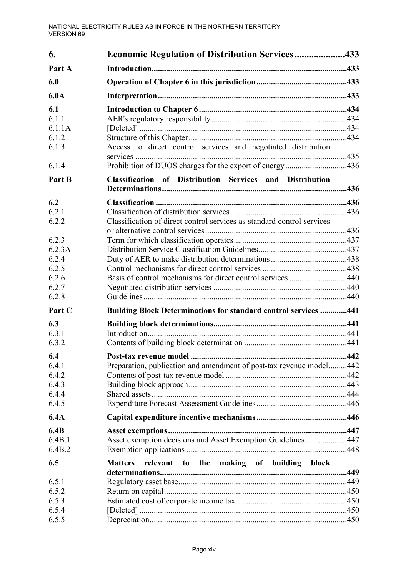| 6.                              | <b>Economic Regulation of Distribution Services433</b>                 |  |
|---------------------------------|------------------------------------------------------------------------|--|
| Part A                          |                                                                        |  |
| 6.0                             |                                                                        |  |
| 6.0A                            |                                                                        |  |
| 6.1<br>6.1.1<br>6.1.1A<br>6.1.2 |                                                                        |  |
| 6.1.3                           | Access to direct control services and negotiated distribution          |  |
| 6.1.4                           | Prohibition of DUOS charges for the export of energy436                |  |
| Part B                          | <b>Classification of Distribution Services and Distribution</b>        |  |
| 6.2                             |                                                                        |  |
| 6.2.1<br>6.2.2                  | Classification of direct control services as standard control services |  |
|                                 |                                                                        |  |
| 6.2.3<br>6.2.3A                 |                                                                        |  |
| 6.2.4                           |                                                                        |  |
| 6.2.5                           |                                                                        |  |
| 6.2.6                           | Basis of control mechanisms for direct control services 440            |  |
| 6.2.7<br>6.2.8                  |                                                                        |  |
| Part C                          | <b>Building Block Determinations for standard control services 441</b> |  |
| 6.3                             |                                                                        |  |
| 6.3.1                           |                                                                        |  |
| 6.3.2                           |                                                                        |  |
| 6.4                             |                                                                        |  |
| 6.4.1                           | Preparation, publication and amendment of post-tax revenue model442    |  |
| 6.4.2<br>6.4.3                  |                                                                        |  |
| 6.4.4                           |                                                                        |  |
| 6.4.5                           |                                                                        |  |
| 6.4A                            |                                                                        |  |
| 6.4B                            |                                                                        |  |
| 6.4B.1<br>6.4B.2                | Asset exemption decisions and Asset Exemption Guidelines 447           |  |
| 6.5                             | relevant to the making of building block<br><b>Matters</b>             |  |
| 6.5.1                           |                                                                        |  |
| 6.5.2                           |                                                                        |  |
| 6.5.3                           |                                                                        |  |
| 6.5.4<br>6.5.5                  |                                                                        |  |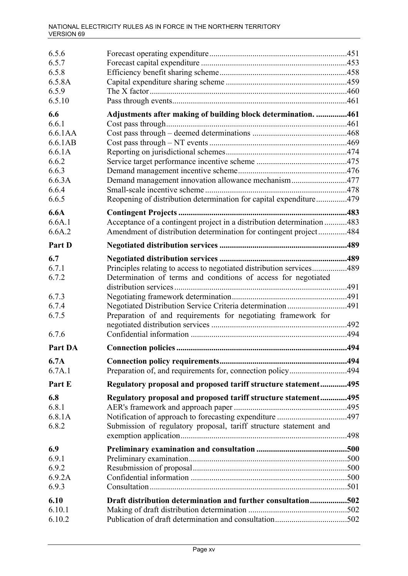| 6.5.6   |                                                                        |  |
|---------|------------------------------------------------------------------------|--|
| 6.5.7   |                                                                        |  |
| 6.5.8   |                                                                        |  |
| 6.5.8A  |                                                                        |  |
| 6.5.9   |                                                                        |  |
| 6.5.10  |                                                                        |  |
| 6.6     | Adjustments after making of building block determination. 461          |  |
| 6.6.1   |                                                                        |  |
| 6.6.1AA |                                                                        |  |
| 6.6.1AB |                                                                        |  |
| 6.6.1A  |                                                                        |  |
| 6.6.2   |                                                                        |  |
| 6.6.3   |                                                                        |  |
| 6.6.3A  | Demand management innovation allowance mechanism477                    |  |
| 6.6.4   |                                                                        |  |
| 6.6.5   | Reopening of distribution determination for capital expenditure479     |  |
| 6.6A    |                                                                        |  |
| 6.6A.1  | Acceptance of a contingent project in a distribution determination 483 |  |
| 6.6A.2  | Amendment of distribution determination for contingent project484      |  |
| Part D  |                                                                        |  |
| 6.7     |                                                                        |  |
| 6.7.1   | Principles relating to access to negotiated distribution services489   |  |
| 6.7.2   | Determination of terms and conditions of access for negotiated         |  |
|         |                                                                        |  |
| 6.7.3   |                                                                        |  |
| 6.7.4   |                                                                        |  |
| 6.7.5   | Preparation of and requirements for negotiating framework for          |  |
|         |                                                                        |  |
| 6.7.6   |                                                                        |  |
| Part DA |                                                                        |  |
| 6.7A    |                                                                        |  |
| 6.7A.1  | Preparation of, and requirements for, connection policy494             |  |
| Part E  | Regulatory proposal and proposed tariff structure statement495         |  |
| 6.8     | Regulatory proposal and proposed tariff structure statement495         |  |
| 6.8.1   |                                                                        |  |
| 6.8.1A  |                                                                        |  |
| 6.8.2   | Submission of regulatory proposal, tariff structure statement and      |  |
| 6.9     |                                                                        |  |
| 6.9.1   |                                                                        |  |
| 6.9.2   |                                                                        |  |
| 6.9.2A  |                                                                        |  |
| 6.9.3   |                                                                        |  |
| 6.10    | Draft distribution determination and further consultation502           |  |
| 6.10.1  |                                                                        |  |
| 6.10.2  |                                                                        |  |
|         |                                                                        |  |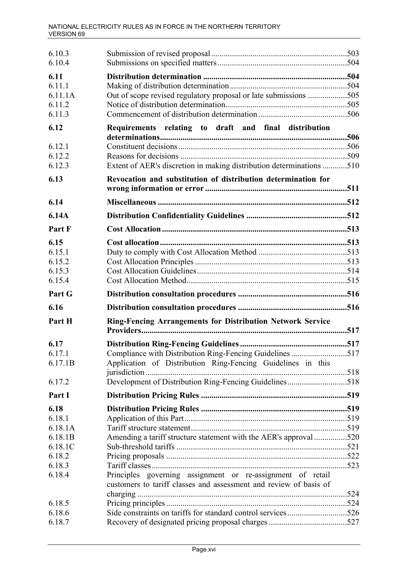| 6.10.3            |                                                                                                                                 |  |
|-------------------|---------------------------------------------------------------------------------------------------------------------------------|--|
| 6.10.4            |                                                                                                                                 |  |
| 6.11              |                                                                                                                                 |  |
| 6.11.1            |                                                                                                                                 |  |
| 6.11.1A           | Out of scope revised regulatory proposal or late submissions 505                                                                |  |
| 6.11.2            |                                                                                                                                 |  |
| 6.11.3            |                                                                                                                                 |  |
| 6.12              | Requirements relating to draft and final distribution                                                                           |  |
| 6.12.1            |                                                                                                                                 |  |
| 6.12.2            |                                                                                                                                 |  |
| 6.12.3            | Extent of AER's discretion in making distribution determinations 510                                                            |  |
| 6.13              | Revocation and substitution of distribution determination for                                                                   |  |
| 6.14              |                                                                                                                                 |  |
| 6.14A             |                                                                                                                                 |  |
| Part F            |                                                                                                                                 |  |
|                   |                                                                                                                                 |  |
| 6.15              |                                                                                                                                 |  |
| 6.15.1            |                                                                                                                                 |  |
| 6.15.2            |                                                                                                                                 |  |
| 6.15.3            |                                                                                                                                 |  |
| 6.15.4            |                                                                                                                                 |  |
|                   |                                                                                                                                 |  |
| Part G            |                                                                                                                                 |  |
| 6.16              |                                                                                                                                 |  |
| Part H            | <b>Ring-Fencing Arrangements for Distribution Network Service</b>                                                               |  |
|                   |                                                                                                                                 |  |
| 6.17              |                                                                                                                                 |  |
| 6.17.1<br>6.17.1B | Compliance with Distribution Ring-Fencing Guidelines 517<br>Application of Distribution Ring-Fencing Guidelines in this         |  |
| 6.17.2            | Development of Distribution Ring-Fencing Guidelines518                                                                          |  |
| Part I            |                                                                                                                                 |  |
| 6.18              |                                                                                                                                 |  |
| 6.18.1            |                                                                                                                                 |  |
| 6.18.1A           |                                                                                                                                 |  |
| 6.18.1B           | Amending a tariff structure statement with the AER's approval 520                                                               |  |
| 6.18.1C           |                                                                                                                                 |  |
| 6.18.2            |                                                                                                                                 |  |
| 6.18.3            |                                                                                                                                 |  |
| 6.18.4            | Principles governing assignment or re-assignment of retail<br>customers to tariff classes and assessment and review of basis of |  |
|                   |                                                                                                                                 |  |
| 6.18.5            |                                                                                                                                 |  |
| 6.18.6<br>6.18.7  |                                                                                                                                 |  |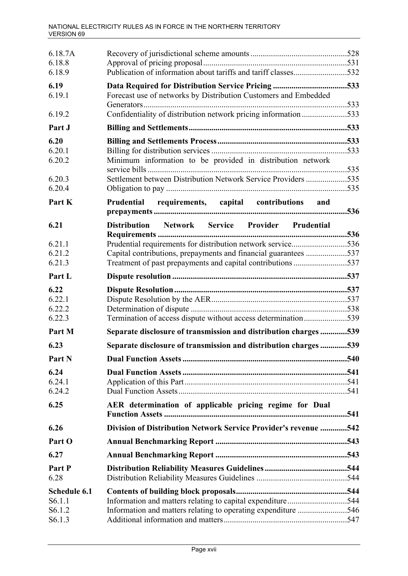| 6.18.7A<br>6.18.8<br>6.18.9 | Publication of information about tariffs and tariff classes532   |  |
|-----------------------------|------------------------------------------------------------------|--|
| 6.19                        |                                                                  |  |
| 6.19.1                      | Forecast use of networks by Distribution Customers and Embedded  |  |
| 6.19.2                      | Confidentiality of distribution network pricing information533   |  |
| Part J                      |                                                                  |  |
| 6.20                        |                                                                  |  |
| 6.20.1                      |                                                                  |  |
| 6.20.2                      | Minimum information to be provided in distribution network       |  |
| 6.20.3                      | Settlement between Distribution Network Service Providers 535    |  |
| 6.20.4                      |                                                                  |  |
| Part K                      | Prudential requirements, capital contributions and               |  |
|                             |                                                                  |  |
| 6.21                        | Distribution Network Service Provider Prudential                 |  |
| 6.21.1                      | Prudential requirements for distribution network service536      |  |
| 6.21.2                      | Capital contributions, prepayments and financial guarantees 537  |  |
| 6.21.3                      |                                                                  |  |
| Part L                      |                                                                  |  |
| 6.22                        |                                                                  |  |
| 6.22.1                      |                                                                  |  |
| 6.22.2                      |                                                                  |  |
| 6.22.3                      | Termination of access dispute without access determination539    |  |
| Part M                      | Separate disclosure of transmission and distribution charges 539 |  |
| 6.23                        | Separate disclosure of transmission and distribution charges539  |  |
| Part N                      |                                                                  |  |
| 6.24                        |                                                                  |  |
| 6.24.1                      |                                                                  |  |
| 6.24.2                      |                                                                  |  |
| 6.25                        | AER determination of applicable pricing regime for Dual          |  |
| 6.26                        | Division of Distribution Network Service Provider's revenue 542  |  |
| Part O                      |                                                                  |  |
| 6.27                        |                                                                  |  |
| Part P<br>6.28              |                                                                  |  |
| Schedule 6.1                |                                                                  |  |
| S <sub>6.1.1</sub>          | Information and matters relating to capital expenditure544       |  |
| S <sub>6.1.2</sub>          | Information and matters relating to operating expenditure 546    |  |
| S6.1.3                      |                                                                  |  |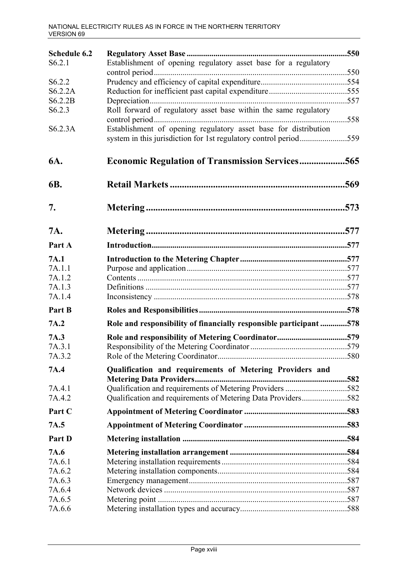| Schedule 6.2       |                                                                   |     |
|--------------------|-------------------------------------------------------------------|-----|
| S6.2.1             | Establishment of opening regulatory asset base for a regulatory   |     |
|                    |                                                                   |     |
| S6.2.2             |                                                                   |     |
| S6.2.2A            |                                                                   |     |
| S6.2.2B            |                                                                   |     |
| S <sub>6.2.3</sub> | Roll forward of regulatory asset base within the same regulatory  | 558 |
| S6.2.3A            | Establishment of opening regulatory asset base for distribution   |     |
| 6A.                | <b>Economic Regulation of Transmission Services565</b>            |     |
| 6B.                |                                                                   |     |
| 7.                 |                                                                   |     |
| 7A.                |                                                                   |     |
| Part A             |                                                                   |     |
| 7A.1               |                                                                   |     |
| 7A.1.1             |                                                                   |     |
| 7A.1.2             |                                                                   |     |
| 7A.1.3             |                                                                   |     |
| 7A.1.4             |                                                                   |     |
| Part B             |                                                                   |     |
| 7A.2               | Role and responsibility of financially responsible participant578 |     |
| 7A.3               | Role and responsibility of Metering Coordinator579                |     |
| 7A.3.1             |                                                                   |     |
| 7A.3.2             |                                                                   |     |
| 7A.4               | Qualification and requirements of Metering Providers and          |     |
| 7A.4.1             | Qualification and requirements of Metering Providers 582          |     |
| 7A.4.2             | Qualification and requirements of Metering Data Providers582      |     |
| Part C             |                                                                   |     |
| 7A.5               |                                                                   |     |
| Part D             |                                                                   |     |
| 7A.6               |                                                                   |     |
| 7A.6.1             |                                                                   |     |
| 7A.6.2             |                                                                   |     |
| 7A.6.3             |                                                                   |     |
| 7A.6.4             |                                                                   |     |
| 7A.6.5             |                                                                   |     |
| 7A.6.6             |                                                                   |     |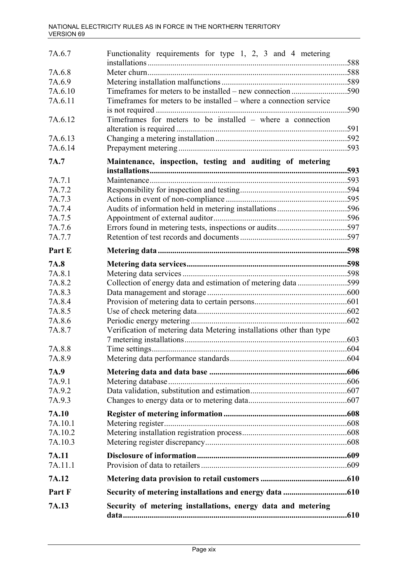| 7A.6.7  | Functionality requirements for type 1, 2, 3 and 4 metering           |      |
|---------|----------------------------------------------------------------------|------|
| 7A.6.8  |                                                                      |      |
| 7A.6.9  |                                                                      |      |
| 7A.6.10 |                                                                      |      |
| 7A.6.11 | Timeframes for meters to be installed – where a connection service   |      |
|         |                                                                      | .590 |
| 7A.6.12 | Timeframes for meters to be installed – where a connection           |      |
|         |                                                                      |      |
| 7A.6.13 |                                                                      |      |
| 7A.6.14 |                                                                      |      |
| 7A.7    | Maintenance, inspection, testing and auditing of metering            |      |
|         |                                                                      |      |
| 7A.7.1  |                                                                      |      |
| 7A.7.2  |                                                                      |      |
| 7A.7.3  |                                                                      |      |
| 7A.7.4  |                                                                      |      |
| 7A.7.5  |                                                                      |      |
| 7A.7.6  |                                                                      |      |
| 7A.7.7  |                                                                      |      |
| Part E  |                                                                      |      |
| 7A.8    |                                                                      |      |
| 7A.8.1  |                                                                      |      |
| 7A.8.2  | Collection of energy data and estimation of metering data 599        |      |
| 7A.8.3  |                                                                      |      |
| 7A.8.4  |                                                                      |      |
| 7A.8.5  |                                                                      |      |
| 7A.8.6  |                                                                      |      |
| 7A.8.7  | Verification of metering data Metering installations other than type |      |
|         |                                                                      |      |
| 7A.8.8  |                                                                      |      |
| 7A.8.9  |                                                                      |      |
|         |                                                                      |      |
| 7A.9    |                                                                      |      |
| 7A.9.1  |                                                                      |      |
| 7A.9.2  |                                                                      |      |
| 7A.9.3  |                                                                      |      |
| 7A.10   |                                                                      |      |
| 7A.10.1 |                                                                      |      |
| 7A.10.2 |                                                                      |      |
| 7A.10.3 |                                                                      |      |
| 7A.11   |                                                                      |      |
| 7A.11.1 |                                                                      |      |
| 7A.12   |                                                                      |      |
| Part F  |                                                                      |      |
| 7A.13   | Security of metering installations, energy data and metering         |      |
|         |                                                                      |      |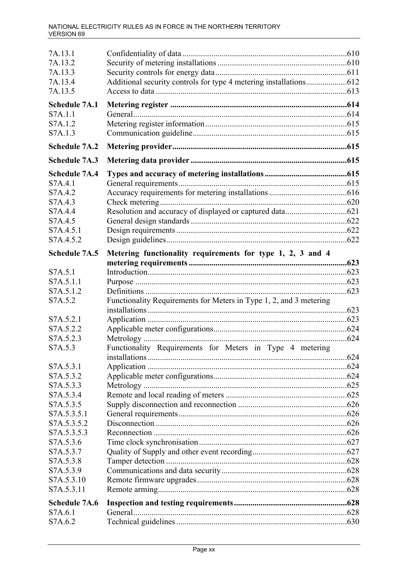| 7A.13.1              |                                                                    |  |
|----------------------|--------------------------------------------------------------------|--|
| 7A.13.2              |                                                                    |  |
| 7A.13.3              |                                                                    |  |
| 7A.13.4              |                                                                    |  |
| 7A.13.5              |                                                                    |  |
| <b>Schedule 7A.1</b> |                                                                    |  |
| S7A.1.1              |                                                                    |  |
| S7A.1.2              |                                                                    |  |
| S7A.1.3              |                                                                    |  |
| <b>Schedule 7A.2</b> |                                                                    |  |
| <b>Schedule 7A.3</b> |                                                                    |  |
| <b>Schedule 7A.4</b> |                                                                    |  |
| S7A.4.1              |                                                                    |  |
| S7A.4.2              |                                                                    |  |
| S7A.4.3              |                                                                    |  |
| S7A.4.4              |                                                                    |  |
| S7A.4.5              |                                                                    |  |
| S7A.4.5.1            |                                                                    |  |
| S7A.4.5.2            |                                                                    |  |
| <b>Schedule 7A.5</b> | Metering functionality requirements for type 1, 2, 3 and 4         |  |
|                      |                                                                    |  |
| S7A.5.1              |                                                                    |  |
| S7A.5.1.1            |                                                                    |  |
| S7A.5.1.2            |                                                                    |  |
| S7A.5.2              | Functionality Requirements for Meters in Type 1, 2, and 3 metering |  |
|                      |                                                                    |  |
| S7A.5.2.1            |                                                                    |  |
| S7A.5.2.2            |                                                                    |  |
| S7A.5.2.3            |                                                                    |  |
| S7A.5.3              | Functionality Requirements for Meters in Type 4 metering           |  |
| S7A.5.3.1            |                                                                    |  |
| S7A.5.3.2            |                                                                    |  |
| S7A.5.3.3            |                                                                    |  |
| S7A.5.3.4            |                                                                    |  |
| S7A.5.3.5            |                                                                    |  |
|                      |                                                                    |  |
| S7A.5.3.5.1          |                                                                    |  |
| S7A.5.3.5.2          |                                                                    |  |
| S7A.5.3.5.3          |                                                                    |  |
| S7A.5.3.6            |                                                                    |  |
| S7A.5.3.7            |                                                                    |  |
| S7A.5.3.8            |                                                                    |  |
| S7A.5.3.9            |                                                                    |  |
| S7A.5.3.10           |                                                                    |  |
| S7A.5.3.11           |                                                                    |  |
| <b>Schedule 7A.6</b> |                                                                    |  |
| S7A.6.1              |                                                                    |  |
| S7A.6.2              |                                                                    |  |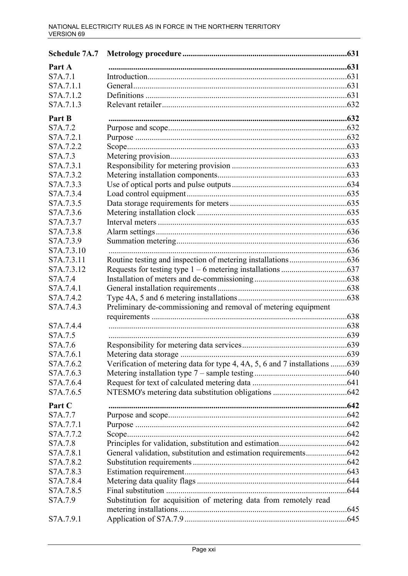| Part A     |                                                                            |     |
|------------|----------------------------------------------------------------------------|-----|
| S7A.7.1    |                                                                            |     |
| S7A.7.1.1  |                                                                            |     |
| S7A.7.1.2  |                                                                            |     |
| S7A.7.1.3  |                                                                            |     |
| Part B     |                                                                            |     |
| S7A.7.2    |                                                                            |     |
| S7A.7.2.1  |                                                                            |     |
| S7A.7.2.2  |                                                                            |     |
| S7A.7.3    |                                                                            |     |
| S7A.7.3.1  |                                                                            |     |
| S7A.7.3.2  |                                                                            |     |
| S7A.7.3.3  |                                                                            |     |
| S7A.7.3.4  |                                                                            |     |
| S7A.7.3.5  |                                                                            |     |
| S7A.7.3.6  |                                                                            |     |
| S7A.7.3.7  |                                                                            |     |
| S7A.7.3.8  |                                                                            |     |
| S7A.7.3.9  |                                                                            |     |
| S7A.7.3.10 |                                                                            |     |
| S7A.7.3.11 |                                                                            |     |
| S7A.7.3.12 |                                                                            |     |
| S7A.7.4    |                                                                            |     |
| S7A.7.4.1  |                                                                            |     |
| S7A.7.4.2  |                                                                            |     |
| S7A.7.4.3  | Preliminary de-commissioning and removal of metering equipment             |     |
|            |                                                                            |     |
| S7A.7.4.4  |                                                                            |     |
| S7A.7.5    |                                                                            |     |
| S7A.7.6    |                                                                            |     |
| S7A.7.6.1  | Metering data storage.                                                     | 639 |
| S7A.7.6.2  | Verification of metering data for type 4, 4A, 5, 6 and 7 installations 639 |     |
| S7A.7.6.3  |                                                                            |     |
| S7A.7.6.4  |                                                                            |     |
| S7A.7.6.5  |                                                                            |     |
| Part C     |                                                                            |     |
| S7A.7.7    |                                                                            |     |
| S7A.7.7.1  |                                                                            |     |
| S7A.7.7.2  |                                                                            |     |
| S7A.7.8    |                                                                            |     |
| S7A.7.8.1  |                                                                            |     |
| S7A.7.8.2  |                                                                            |     |
| S7A.7.8.3  |                                                                            |     |
| S7A.7.8.4  |                                                                            |     |
| S7A.7.8.5  |                                                                            |     |
| S7A.7.9    | Substitution for acquisition of metering data from remotely read           |     |
|            |                                                                            |     |
| S7A.7.9.1  |                                                                            |     |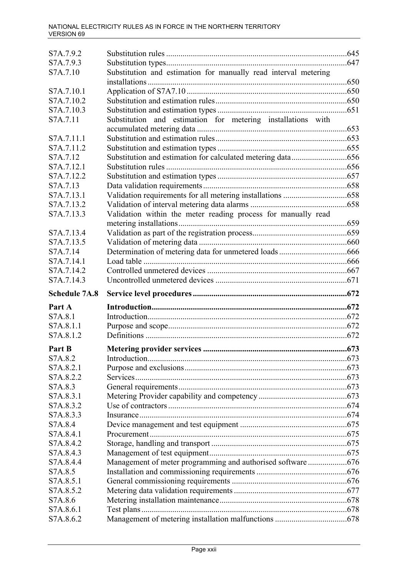| S7A.7.9.2                |                                                                 |  |
|--------------------------|-----------------------------------------------------------------|--|
| S7A.7.9.3                |                                                                 |  |
| S7A.7.10                 | Substitution and estimation for manually read interval metering |  |
|                          |                                                                 |  |
| S7A.7.10.1               |                                                                 |  |
| S7A.7.10.2               |                                                                 |  |
| S7A.7.10.3               |                                                                 |  |
| S7A.7.11                 | Substitution and estimation for metering installations with     |  |
|                          |                                                                 |  |
| S7A.7.11.1               |                                                                 |  |
| S7A.7.11.2               |                                                                 |  |
| S7A.7.12                 |                                                                 |  |
| S7A.7.12.1               |                                                                 |  |
| S7A.7.12.2               |                                                                 |  |
| S7A.7.13                 |                                                                 |  |
| S7A.7.13.1               |                                                                 |  |
| S7A.7.13.2               |                                                                 |  |
| S7A.7.13.3               | Validation within the meter reading process for manually read   |  |
| S7A.7.13.4               |                                                                 |  |
| S7A.7.13.5               |                                                                 |  |
| S7A.7.14                 |                                                                 |  |
| S7A.7.14.1               |                                                                 |  |
|                          |                                                                 |  |
| S7A.7.14.2<br>S7A.7.14.3 |                                                                 |  |
|                          |                                                                 |  |
|                          |                                                                 |  |
| <b>Schedule 7A.8</b>     |                                                                 |  |
| Part A                   |                                                                 |  |
| S7A.8.1                  |                                                                 |  |
| S7A.8.1.1                |                                                                 |  |
| S7A.8.1.2                |                                                                 |  |
| Part B                   |                                                                 |  |
| S7A.8.2                  |                                                                 |  |
| S7A.8.2.1                |                                                                 |  |
| S7A.8.2.2                |                                                                 |  |
| S7A.8.3                  |                                                                 |  |
| S7A.8.3.1                |                                                                 |  |
| S7A.8.3.2                |                                                                 |  |
| S7A.8.3.3                |                                                                 |  |
| S7A.8.4                  |                                                                 |  |
| S7A.8.4.1                |                                                                 |  |
| S7A.8.4.2                |                                                                 |  |
| S7A.8.4.3                |                                                                 |  |
| S7A.8.4.4                | Management of meter programming and authorised software676      |  |
| S7A.8.5                  |                                                                 |  |
| S7A.8.5.1                |                                                                 |  |
| S7A.8.5.2                |                                                                 |  |
| S7A.8.6                  |                                                                 |  |
| S7A.8.6.1<br>S7A.8.6.2   |                                                                 |  |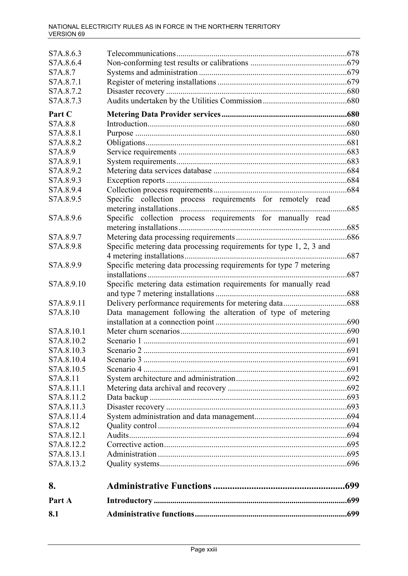| S7A.8.6.3  |                                                                     |      |
|------------|---------------------------------------------------------------------|------|
| S7A.8.6.4  |                                                                     |      |
| S7A.8.7    |                                                                     |      |
| S7A.8.7.1  |                                                                     |      |
| S7A.8.7.2  |                                                                     |      |
| S7A.8.7.3  |                                                                     |      |
| Part C     |                                                                     |      |
| S7A.8.8    |                                                                     |      |
| S7A.8.8.1  |                                                                     |      |
| S7A.8.8.2  |                                                                     |      |
| S7A.8.9    |                                                                     |      |
| S7A.8.9.1  |                                                                     |      |
| S7A.8.9.2  |                                                                     |      |
| S7A.8.9.3  |                                                                     |      |
| S7A.8.9.4  |                                                                     |      |
| S7A.8.9.5  | Specific collection process requirements for remotely read          | .685 |
| S7A.8.9.6  | Specific collection process requirements for manually read          |      |
|            |                                                                     |      |
| S7A.8.9.7  |                                                                     |      |
| S7A.8.9.8  | Specific metering data processing requirements for type 1, 2, 3 and |      |
|            |                                                                     | .687 |
| S7A.8.9.9  | Specific metering data processing requirements for type 7 metering  |      |
|            |                                                                     | .687 |
| S7A.8.9.10 | Specific metering data estimation requirements for manually read    |      |
|            |                                                                     |      |
| S7A.8.9.11 |                                                                     |      |
| S7A.8.10   | Data management following the alteration of type of metering        |      |
|            |                                                                     |      |
| S7A.8.10.1 |                                                                     |      |
| S7A.8.10.2 |                                                                     |      |
| S7A.8.10.3 |                                                                     |      |
| S7A.8.10.4 |                                                                     |      |
| S7A.8.10.5 |                                                                     |      |
| S7A.8.11   |                                                                     |      |
| S7A.8.11.1 |                                                                     |      |
| S7A.8.11.2 |                                                                     |      |
| S7A.8.11.3 |                                                                     |      |
| S7A.8.11.4 |                                                                     |      |
| S7A.8.12   |                                                                     |      |
| S7A.8.12.1 |                                                                     |      |
| S7A.8.12.2 |                                                                     |      |
| S7A.8.13.1 |                                                                     |      |
| S7A.8.13.2 |                                                                     |      |
| 8.         |                                                                     | .699 |
| Part A     |                                                                     | .699 |
| 8.1        |                                                                     |      |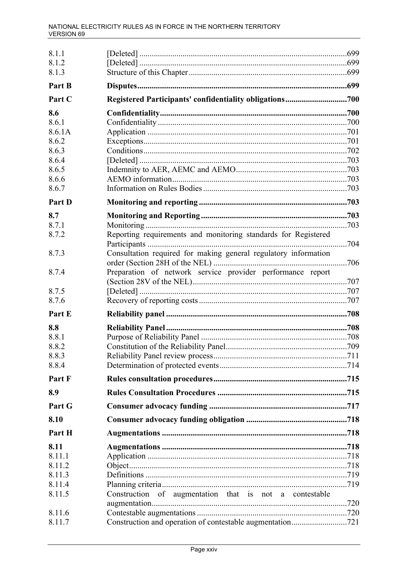| 8.1.1            |                                                                 |  |
|------------------|-----------------------------------------------------------------|--|
| 8.1.2            |                                                                 |  |
| 8.1.3            |                                                                 |  |
| Part B           |                                                                 |  |
| Part C           |                                                                 |  |
| 8.6              |                                                                 |  |
| 8.6.1            |                                                                 |  |
| 8.6.1A           |                                                                 |  |
| 8.6.2            |                                                                 |  |
| 8.6.3            |                                                                 |  |
| 8.6.4            |                                                                 |  |
| 8.6.5            |                                                                 |  |
| 8.6.6            |                                                                 |  |
| 8.6.7            |                                                                 |  |
| Part D           |                                                                 |  |
| 8.7              |                                                                 |  |
| 8.7.1            |                                                                 |  |
| 8.7.2            | Reporting requirements and monitoring standards for Registered  |  |
| 8.7.3            | Consultation required for making general regulatory information |  |
| 8.7.4            | Preparation of network service provider performance report      |  |
| 8.7.5            |                                                                 |  |
| 8.7.6            |                                                                 |  |
| Part E           |                                                                 |  |
| 8.8              |                                                                 |  |
| 8.8.1            |                                                                 |  |
| 8.8.2            |                                                                 |  |
| 8.8.3            |                                                                 |  |
| 8.8.4            |                                                                 |  |
| Part F           |                                                                 |  |
| 8.9              |                                                                 |  |
| Part G           |                                                                 |  |
| 8.10             |                                                                 |  |
| Part H           |                                                                 |  |
| 8.11             |                                                                 |  |
| 8.11.1           |                                                                 |  |
| 8.11.2           |                                                                 |  |
| 8.11.3           |                                                                 |  |
| 8.11.4           |                                                                 |  |
| 8.11.5           | Construction of augmentation that is not a contestable          |  |
|                  |                                                                 |  |
| 8.11.6<br>8.11.7 |                                                                 |  |
|                  |                                                                 |  |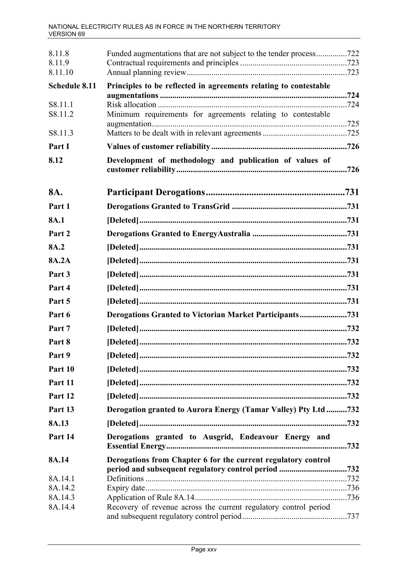| 8.11.8<br>8.11.9 | Funded augmentations that are not subject to the tender process722 |      |
|------------------|--------------------------------------------------------------------|------|
| 8.11.10          |                                                                    |      |
| Schedule 8.11    | Principles to be reflected in agreements relating to contestable   |      |
| S8.11.1          |                                                                    | .724 |
| S8.11.2          | Minimum requirements for agreements relating to contestable        |      |
|                  |                                                                    |      |
| S8.11.3          |                                                                    |      |
| Part I           |                                                                    |      |
| 8.12             | Development of methodology and publication of values of            | .726 |
| 8A.              |                                                                    |      |
| Part 1           |                                                                    |      |
| 8A.1             |                                                                    |      |
| Part 2           |                                                                    |      |
| 8A.2             |                                                                    |      |
| 8A.2A            |                                                                    |      |
| Part 3           |                                                                    |      |
| Part 4           |                                                                    |      |
| Part 5           |                                                                    |      |
| Part 6           | Derogations Granted to Victorian Market Participants731            |      |
| Part 7           |                                                                    |      |
| Part 8           |                                                                    |      |
| Part 9           |                                                                    |      |
| Part 10          |                                                                    |      |
| Part 11          |                                                                    |      |
| Part 12          |                                                                    |      |
| Part 13          | Derogation granted to Aurora Energy (Tamar Valley) Pty Ltd 732     |      |
| 8A.13            |                                                                    |      |
| Part 14          | Derogations granted to Ausgrid, Endeavour Energy and               | 732  |
| 8A.14            | Derogations from Chapter 6 for the current regulatory control      |      |
| 8A.14.1          | period and subsequent regulatory control period                    | 732  |
| 8A.14.2          |                                                                    |      |
| 8A.14.3          |                                                                    |      |
| 8A.14.4          | Recovery of revenue across the current regulatory control period   |      |
|                  |                                                                    |      |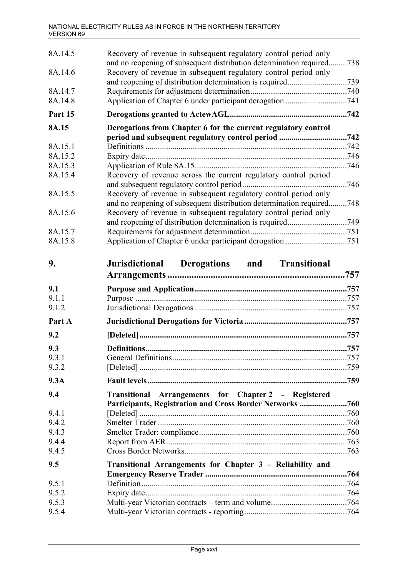| 8A.14.5 | Recovery of revenue in subsequent regulatory control period only                                                                          |  |
|---------|-------------------------------------------------------------------------------------------------------------------------------------------|--|
| 8A.14.6 | and no reopening of subsequent distribution determination required738<br>Recovery of revenue in subsequent regulatory control period only |  |
|         |                                                                                                                                           |  |
| 8A.14.7 |                                                                                                                                           |  |
| 8A.14.8 |                                                                                                                                           |  |
| Part 15 |                                                                                                                                           |  |
| 8A.15   | Derogations from Chapter 6 for the current regulatory control                                                                             |  |
| 8A.15.1 |                                                                                                                                           |  |
| 8A.15.2 |                                                                                                                                           |  |
| 8A.15.3 |                                                                                                                                           |  |
| 8A.15.4 | Recovery of revenue across the current regulatory control period                                                                          |  |
|         |                                                                                                                                           |  |
| 8A.15.5 | Recovery of revenue in subsequent regulatory control period only                                                                          |  |
|         | and no reopening of subsequent distribution determination required748                                                                     |  |
| 8A.15.6 | Recovery of revenue in subsequent regulatory control period only                                                                          |  |
|         |                                                                                                                                           |  |
| 8A.15.7 |                                                                                                                                           |  |
| 8A.15.8 |                                                                                                                                           |  |
| 9.      | Jurisdictional Derogations and Transitional                                                                                               |  |
|         |                                                                                                                                           |  |
| 9.1     |                                                                                                                                           |  |
| 9.1.1   |                                                                                                                                           |  |
| 9.1.2   |                                                                                                                                           |  |
| Part A  |                                                                                                                                           |  |
| 9.2     |                                                                                                                                           |  |
| 9.3     |                                                                                                                                           |  |
| 9.3.1   |                                                                                                                                           |  |
| 9.3.2   |                                                                                                                                           |  |
| 9.3A    |                                                                                                                                           |  |
| 9.4     | Transitional Arrangements for Chapter 2 - Registered                                                                                      |  |
|         | Participants, Registration and Cross Border Networks 760                                                                                  |  |
| 9.4.1   |                                                                                                                                           |  |
| 9.4.2   |                                                                                                                                           |  |
| 9.4.3   |                                                                                                                                           |  |
| 9.4.4   |                                                                                                                                           |  |
| 9.4.5   |                                                                                                                                           |  |
| 9.5     | Transitional Arrangements for Chapter 3 - Reliability and                                                                                 |  |
| 9.5.1   |                                                                                                                                           |  |
| 9.5.2   |                                                                                                                                           |  |
| 9.5.3   |                                                                                                                                           |  |
| 9.5.4   |                                                                                                                                           |  |
|         |                                                                                                                                           |  |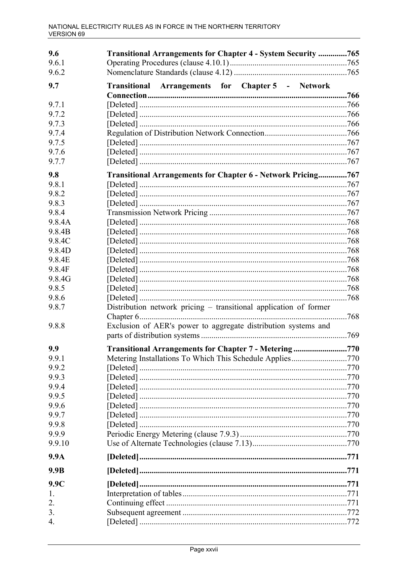| 9.6    | Transitional Arrangements for Chapter 4 - System Security 765     |      |
|--------|-------------------------------------------------------------------|------|
| 9.6.1  |                                                                   |      |
| 9.6.2  |                                                                   |      |
| 9.7    | Transitional Arrangements for Chapter 5 - Network                 |      |
|        |                                                                   | 766  |
| 9.7.1  |                                                                   |      |
| 9.7.2  |                                                                   |      |
| 9.7.3  |                                                                   |      |
| 9.7.4  |                                                                   |      |
| 9.7.5  |                                                                   |      |
| 9.7.6  |                                                                   |      |
| 9.7.7  |                                                                   |      |
| 9.8    | Transitional Arrangements for Chapter 6 - Network Pricing767      |      |
| 9.8.1  |                                                                   |      |
| 9.8.2  |                                                                   |      |
| 9.8.3  |                                                                   |      |
| 9.8.4  |                                                                   |      |
| 9.8.4A |                                                                   |      |
| 9.8.4B |                                                                   |      |
| 9.8.4C |                                                                   |      |
| 9.8.4D |                                                                   |      |
| 9.8.4E |                                                                   |      |
| 9.8.4F |                                                                   |      |
| 9.8.4G |                                                                   |      |
| 9.8.5  |                                                                   |      |
| 9.8.6  |                                                                   | .768 |
| 9.8.7  | Distribution network pricing – transitional application of former |      |
|        |                                                                   | 768  |
| 9.8.8  | Exclusion of AER's power to aggregate distribution systems and    |      |
|        |                                                                   |      |
| 9.9    | Transitional Arrangements for Chapter 7 - Metering770             |      |
| 9.9.1  | Metering Installations To Which This Schedule Applies770          |      |
| 9.9.2  |                                                                   |      |
| 9.9.3  |                                                                   |      |
| 9.9.4  |                                                                   |      |
| 9.9.5  |                                                                   |      |
| 9.9.6  |                                                                   |      |
| 9.9.7  |                                                                   |      |
| 9.9.8  |                                                                   |      |
| 9.9.9  |                                                                   |      |
| 9.9.10 |                                                                   |      |
|        |                                                                   |      |
| 9.9A   |                                                                   |      |
| 9.9B   |                                                                   |      |
| 9.9C   |                                                                   |      |
| 1.     |                                                                   |      |
| 2.     |                                                                   |      |
| 3.     |                                                                   |      |
| 4.     |                                                                   |      |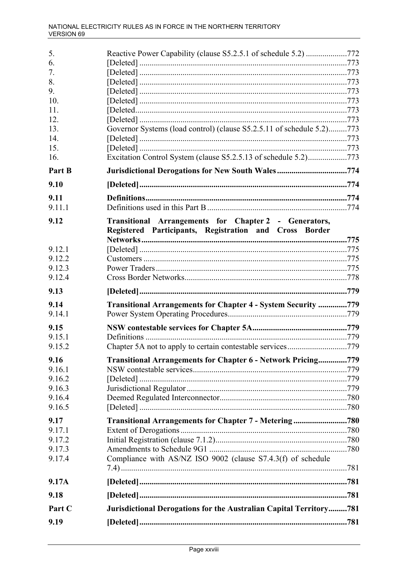| 5.             | Reactive Power Capability (clause S5.2.5.1 of schedule 5.2) 772                                                 |  |
|----------------|-----------------------------------------------------------------------------------------------------------------|--|
| 6.             |                                                                                                                 |  |
| 7.             |                                                                                                                 |  |
| 8.             |                                                                                                                 |  |
| 9.             |                                                                                                                 |  |
| 10.            |                                                                                                                 |  |
| 11.            |                                                                                                                 |  |
| 12.            |                                                                                                                 |  |
| 13.            | Governor Systems (load control) (clause S5.2.5.11 of schedule 5.2)773                                           |  |
| 14.            |                                                                                                                 |  |
| 15.            |                                                                                                                 |  |
| 16.            | Excitation Control System (clause S5.2.5.13 of schedule 5.2)773                                                 |  |
| Part B         | Jurisdictional Derogations for New South Wales774                                                               |  |
| 9.10           |                                                                                                                 |  |
| 9.11           |                                                                                                                 |  |
| 9.11.1         |                                                                                                                 |  |
| 9.12           | Transitional Arrangements for Chapter 2 - Generators,<br>Registered Participants, Registration and Cross Border |  |
|                |                                                                                                                 |  |
| 9.12.1         |                                                                                                                 |  |
| 9.12.2         |                                                                                                                 |  |
| 9.12.3         |                                                                                                                 |  |
| 9.12.4         |                                                                                                                 |  |
| 9.13           |                                                                                                                 |  |
|                |                                                                                                                 |  |
| 9.14           | Transitional Arrangements for Chapter 4 - System Security 779                                                   |  |
| 9.14.1         |                                                                                                                 |  |
| 9.15           |                                                                                                                 |  |
| 9.15.1         |                                                                                                                 |  |
| 9.15.2         |                                                                                                                 |  |
| 9.16           |                                                                                                                 |  |
| 9.16.1         | <b>Transitional Arrangements for Chapter 6 - Network Pricing779</b>                                             |  |
| 9.16.2         |                                                                                                                 |  |
| 9.16.3         |                                                                                                                 |  |
| 9.16.4         |                                                                                                                 |  |
| 9.16.5         |                                                                                                                 |  |
|                |                                                                                                                 |  |
| 9.17<br>9.17.1 | Transitional Arrangements for Chapter 7 - Metering780                                                           |  |
| 9.17.2         |                                                                                                                 |  |
| 9.17.3         |                                                                                                                 |  |
| 9.17.4         | Compliance with AS/NZ ISO 9002 (clause S7.4.3(f) of schedule                                                    |  |
| 9.17A          |                                                                                                                 |  |
| 9.18           |                                                                                                                 |  |
| Part C         | Jurisdictional Derogations for the Australian Capital Territory781                                              |  |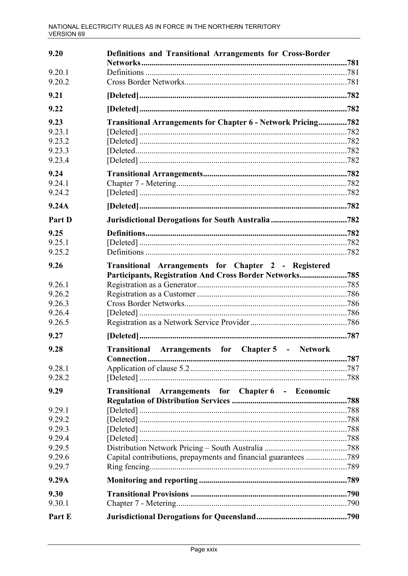| 9.20             | Definitions and Transitional Arrangements for Cross-Border      |  |
|------------------|-----------------------------------------------------------------|--|
| 9.20.1           |                                                                 |  |
| 9.20.2           |                                                                 |  |
| 9.21             |                                                                 |  |
| 9.22             |                                                                 |  |
| 9.23             | Transitional Arrangements for Chapter 6 - Network Pricing782    |  |
| 9.23.1           |                                                                 |  |
| 9.23.2           |                                                                 |  |
| 9.23.3           |                                                                 |  |
| 9.23.4           |                                                                 |  |
| 9.24             |                                                                 |  |
| 9.24.1           |                                                                 |  |
| 9.24.2           |                                                                 |  |
| 9.24A            |                                                                 |  |
| Part D           |                                                                 |  |
| 9.25             |                                                                 |  |
| 9.25.1           |                                                                 |  |
| 9.25.2           |                                                                 |  |
| 9.26             | Transitional Arrangements for Chapter 2 - Registered            |  |
|                  | Participants, Registration And Cross Border Networks785         |  |
| 9.26.1           |                                                                 |  |
| 9.26.2           |                                                                 |  |
| 9.26.3<br>9.26.4 |                                                                 |  |
| 9.26.5           |                                                                 |  |
|                  |                                                                 |  |
| 9.27             |                                                                 |  |
| 9.28             | Transitional Arrangements for Chapter 5 - Network               |  |
| 9.28.1           |                                                                 |  |
| 9.28.2           |                                                                 |  |
| 9.29             | Arrangements for Chapter 6 - Economic<br><b>Transitional</b>    |  |
|                  |                                                                 |  |
| 9.29.1           |                                                                 |  |
| 9.29.2           |                                                                 |  |
| 9.29.3           |                                                                 |  |
| 9.29.4           |                                                                 |  |
| 9.29.5           |                                                                 |  |
| 9.29.6           | Capital contributions, prepayments and financial guarantees 789 |  |
| 9.29.7           |                                                                 |  |
| 9.29A            |                                                                 |  |
| 9.30             |                                                                 |  |
| 9.30.1           |                                                                 |  |
| Part E           |                                                                 |  |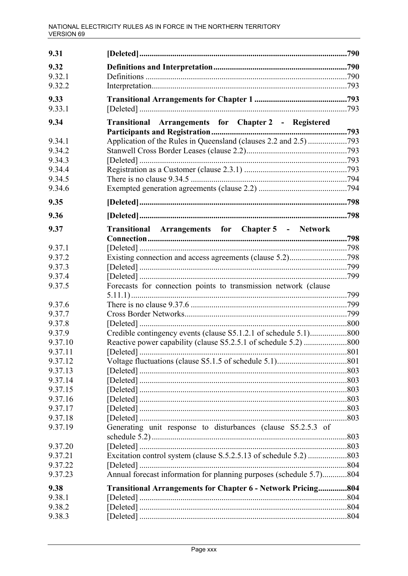| 9.31             |                                                                     |      |
|------------------|---------------------------------------------------------------------|------|
| 9.32             |                                                                     |      |
| 9.32.1           |                                                                     |      |
| 9.32.2           |                                                                     |      |
| 9.33             |                                                                     |      |
| 9.33.1           |                                                                     |      |
| 9.34             | Transitional Arrangements for Chapter 2 - Registered                |      |
|                  |                                                                     |      |
| 9.34.1           |                                                                     |      |
| 9.34.2           |                                                                     |      |
| 9.34.3           |                                                                     |      |
| 9.34.4           |                                                                     |      |
| 9.34.5           |                                                                     |      |
| 9.34.6           |                                                                     |      |
| 9.35             |                                                                     |      |
| 9.36             |                                                                     |      |
| 9.37             | Transitional Arrangements for Chapter 5 - Network                   |      |
|                  |                                                                     |      |
| 9.37.1           |                                                                     |      |
| 9.37.2           |                                                                     |      |
| 9.37.3<br>9.37.4 |                                                                     |      |
| 9.37.5           | Forecasts for connection points to transmission network (clause     |      |
|                  |                                                                     |      |
| 9.37.6           |                                                                     |      |
| 9.37.7           |                                                                     |      |
| 9.37.8           |                                                                     |      |
| 9.37.9           |                                                                     |      |
| 9.37.10          |                                                                     |      |
| 9.37.11          |                                                                     | 801  |
| 9.37.12          |                                                                     |      |
| 9.37.13          |                                                                     |      |
| 9.37.14          |                                                                     |      |
| 9.37.15          |                                                                     |      |
| 9.37.16          |                                                                     |      |
| 9.37.17          |                                                                     |      |
| 9.37.18          |                                                                     |      |
| 9.37.19          | Generating unit response to disturbances (clause S5.2.5.3 of        |      |
| 9.37.20          |                                                                     |      |
| 9.37.21          |                                                                     |      |
| 9.37.22          |                                                                     |      |
| 9.37.23          | Annual forecast information for planning purposes (schedule 5.7)804 |      |
| 9.38             | <b>Transitional Arrangements for Chapter 6 - Network Pricing</b>    | .804 |
| 9.38.1           |                                                                     |      |
| 9.38.2           |                                                                     |      |
| 9.38.3           |                                                                     |      |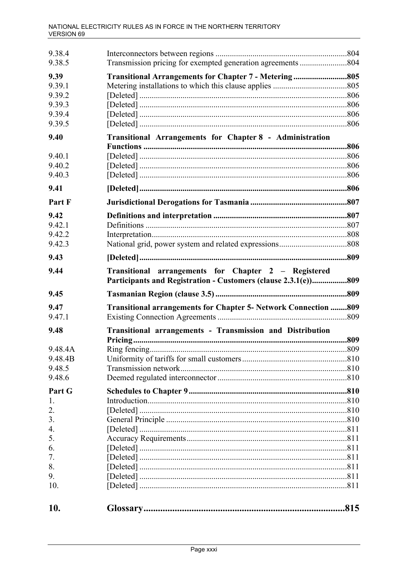| 9.38.4<br>9.38.5 |                                                                                                                     |     |
|------------------|---------------------------------------------------------------------------------------------------------------------|-----|
| 9.39<br>9.39.1   | Transitional Arrangements for Chapter 7 - Metering805                                                               |     |
| 9.39.2           |                                                                                                                     |     |
| 9.39.3           |                                                                                                                     |     |
| 9.39.4           |                                                                                                                     |     |
| 9.39.5           |                                                                                                                     |     |
| 9.40             | Transitional Arrangements for Chapter 8 - Administration                                                            |     |
| 9.40.1           |                                                                                                                     |     |
| 9.40.2           |                                                                                                                     |     |
| 9.40.3           |                                                                                                                     |     |
| 9.41             |                                                                                                                     |     |
| Part F           |                                                                                                                     |     |
| 9.42             |                                                                                                                     |     |
| 9.42.1           |                                                                                                                     |     |
| 9.42.2           |                                                                                                                     |     |
| 9.42.3           |                                                                                                                     |     |
| 9.43             |                                                                                                                     |     |
| 9.44             | Transitional arrangements for Chapter 2 - Registered<br>Participants and Registration - Customers (clause 2.3.1(e)) | 809 |
| 9.45             |                                                                                                                     |     |
| 9.47             | Transitional arrangements for Chapter 5- Network Connection  809                                                    |     |
| 9.47.1           |                                                                                                                     |     |
| 9.48             | Transitional arrangements - Transmission and Distribution                                                           | 809 |
| 9.48.4A          |                                                                                                                     |     |
| 9.48.4B          |                                                                                                                     |     |
| 9.48.5           |                                                                                                                     |     |
| 9.48.6           |                                                                                                                     |     |
| Part G           |                                                                                                                     |     |
| 1.               |                                                                                                                     |     |
| 2.               |                                                                                                                     |     |
| 3.               |                                                                                                                     |     |
| 4.               |                                                                                                                     |     |
| 5.               |                                                                                                                     |     |
| 6.               |                                                                                                                     |     |
| 7.               |                                                                                                                     |     |
| 8.               |                                                                                                                     |     |
| 9.               |                                                                                                                     |     |
| 10.              |                                                                                                                     |     |
|                  |                                                                                                                     |     |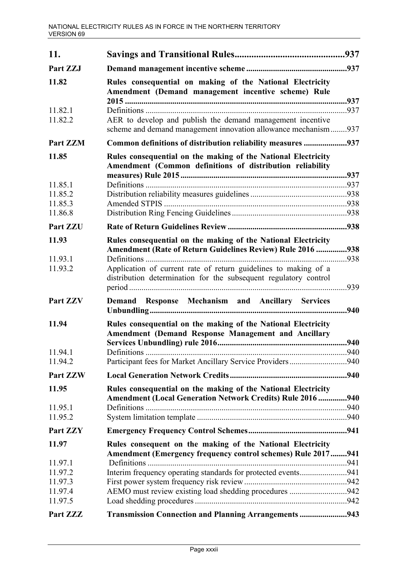| 11.                |                                                                                                                                     |      |
|--------------------|-------------------------------------------------------------------------------------------------------------------------------------|------|
| Part ZZJ           |                                                                                                                                     |      |
| 11.82              | Rules consequential on making of the National Electricity<br>Amendment (Demand management incentive scheme) Rule                    | .937 |
| 11.82.1<br>11.82.2 | AER to develop and publish the demand management incentive<br>scheme and demand management innovation allowance mechanism937        |      |
| Part ZZM           | Common definitions of distribution reliability measures 937                                                                         |      |
| 11.85              | Rules consequential on the making of the National Electricity<br>Amendment (Common definitions of distribution reliability          |      |
| 11.85.1            |                                                                                                                                     |      |
| 11.85.2            |                                                                                                                                     |      |
| 11.85.3            |                                                                                                                                     |      |
| 11.86.8            |                                                                                                                                     |      |
| Part ZZU           |                                                                                                                                     |      |
| 11.93              | Rules consequential on the making of the National Electricity                                                                       |      |
|                    | <b>Amendment (Rate of Return Guidelines Review) Rule 2016 </b>                                                                      | 938  |
| 11.93.1<br>11.93.2 | Application of current rate of return guidelines to making of a<br>distribution determination for the subsequent regulatory control | .939 |
| Part ZZV           | Demand Response Mechanism and Ancillary Services                                                                                    | .940 |
| 11.94              | Rules consequential on the making of the National Electricity<br><b>Amendment (Demand Response Management and Ancillary</b>         | 940  |
| 11.94.1            | Definitions.                                                                                                                        | .940 |
| 11.94.2            |                                                                                                                                     |      |
| Part ZZW           |                                                                                                                                     |      |
| 11.95              | Rules consequential on the making of the National Electricity                                                                       |      |
|                    | Amendment (Local Generation Network Credits) Rule 2016 940                                                                          |      |
| 11.95.1            |                                                                                                                                     |      |
| 11.95.2            |                                                                                                                                     |      |
| Part ZZY           |                                                                                                                                     |      |
| 11.97              | Rules consequent on the making of the National Electricity                                                                          |      |
| 11.97.1            | Amendment (Emergency frequency control schemes) Rule 2017941                                                                        |      |
| 11.97.2            | Interim frequency operating standards for protected events941                                                                       |      |
| 11.97.3            |                                                                                                                                     |      |
| 11.97.4            | AEMO must review existing load shedding procedures 942                                                                              |      |
| 11.97.5            |                                                                                                                                     |      |
| Part ZZZ           | Transmission Connection and Planning Arrangements 943                                                                               |      |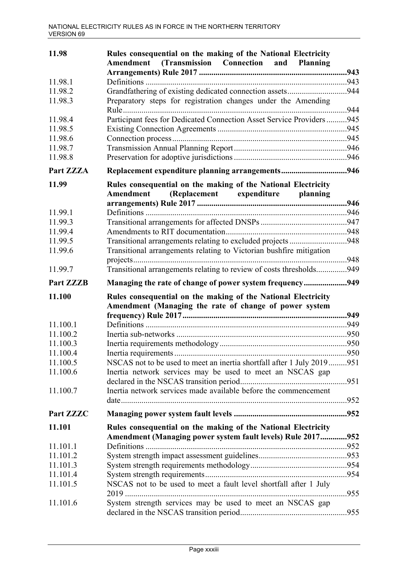| 11.98              | Rules consequential on the making of the National Electricity<br>Amendment<br>(Transmission Connection and Planning     |      |
|--------------------|-------------------------------------------------------------------------------------------------------------------------|------|
|                    |                                                                                                                         |      |
| 11.98.1            |                                                                                                                         |      |
| 11.98.2            | Grandfathering of existing dedicated connection assets944                                                               |      |
| 11.98.3            | Preparatory steps for registration changes under the Amending                                                           |      |
| 11.98.4            | Participant fees for Dedicated Connection Asset Service Providers945                                                    |      |
| 11.98.5            |                                                                                                                         |      |
| 11.98.6            |                                                                                                                         |      |
| 11.98.7            |                                                                                                                         |      |
| 11.98.8            |                                                                                                                         |      |
| Part ZZZA          | Replacement expenditure planning arrangements946                                                                        |      |
| 11.99              | Rules consequential on the making of the National Electricity<br>Amendment<br>(Replacement expenditure<br>planning      |      |
|                    |                                                                                                                         |      |
| 11.99.1            |                                                                                                                         |      |
| 11.99.3            |                                                                                                                         |      |
| 11.99.4            |                                                                                                                         |      |
| 11.99.5<br>11.99.6 | Transitional arrangements relating to Victorian bushfire mitigation                                                     |      |
|                    |                                                                                                                         |      |
| 11.99.7            | Transitional arrangements relating to review of costs thresholds949                                                     |      |
| <b>Part ZZZB</b>   | Managing the rate of change of power system frequency949                                                                |      |
| 11.100             | Rules consequential on the making of the National Electricity<br>Amendment (Managing the rate of change of power system |      |
|                    |                                                                                                                         | .949 |
| 11.100.1           |                                                                                                                         |      |
| 11.100.2           |                                                                                                                         |      |
| 11.100.3           |                                                                                                                         |      |
| 11.100.4           | Inertia requirements.                                                                                                   | .950 |
| 11.100.5           | NSCAS not to be used to meet an inertia shortfall after 1 July 2019951                                                  |      |
| 11.100.6           | Inertia network services may be used to meet an NSCAS gap                                                               |      |
| 11.100.7           | Inertia network services made available before the commencement                                                         |      |
| Part ZZZC          |                                                                                                                         |      |
| 11.101             | Rules consequential on the making of the National Electricity                                                           |      |
|                    | Amendment (Managing power system fault levels) Rule 2017                                                                | 952  |
| 11.101.1           |                                                                                                                         |      |
| 11.101.2           |                                                                                                                         |      |
| 11.101.3           |                                                                                                                         |      |
| 11.101.4           |                                                                                                                         |      |
| 11.101.5           | NSCAS not to be used to meet a fault level shortfall after 1 July                                                       | 955  |
| 11.101.6           | System strength services may be used to meet an NSCAS gap                                                               |      |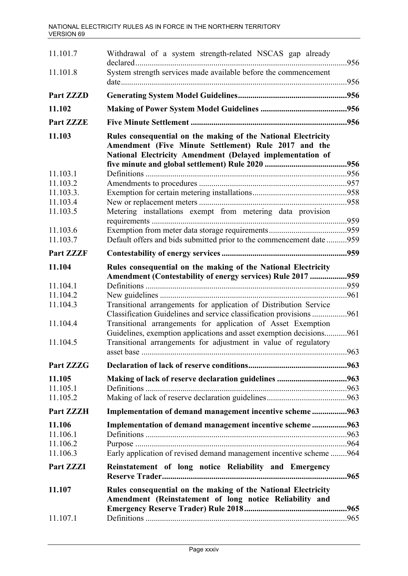| 11.101.7             | Withdrawal of a system strength-related NSCAS gap already                                                                                                                          |             |
|----------------------|------------------------------------------------------------------------------------------------------------------------------------------------------------------------------------|-------------|
| 11.101.8             | System strength services made available before the commencement                                                                                                                    |             |
| <b>Part ZZZD</b>     |                                                                                                                                                                                    |             |
| 11.102               |                                                                                                                                                                                    |             |
| Part ZZZE            |                                                                                                                                                                                    |             |
| 11.103               | Rules consequential on the making of the National Electricity<br>Amendment (Five Minute Settlement) Rule 2017 and the<br>National Electricity Amendment (Delayed implementation of |             |
|                      |                                                                                                                                                                                    |             |
| 11.103.1<br>11.103.2 |                                                                                                                                                                                    |             |
| 11.103.3.            |                                                                                                                                                                                    |             |
| 11.103.4             |                                                                                                                                                                                    |             |
| 11.103.5             | Metering installations exempt from metering data provision                                                                                                                         |             |
| 11.103.6             |                                                                                                                                                                                    |             |
| 11.103.7             | Default offers and bids submitted prior to the commencement date 959                                                                                                               |             |
| <b>Part ZZZF</b>     |                                                                                                                                                                                    |             |
| 11.104               | Rules consequential on the making of the National Electricity                                                                                                                      |             |
|                      | Amendment (Contestability of energy services) Rule 2017 959                                                                                                                        |             |
| 11.104.1             |                                                                                                                                                                                    |             |
| 11.104.2             |                                                                                                                                                                                    | 961         |
| 11.104.3             | Transitional arrangements for application of Distribution Service<br>Classification Guidelines and service classification provisions                                               | 961         |
| 11.104.4             | Transitional arrangements for application of Asset Exemption                                                                                                                       |             |
| 11.104.5             | Guidelines, exemption applications and asset exemption decisions<br>Transitional arrangements for adjustment in value of regulatory                                                | 961<br>.963 |
|                      |                                                                                                                                                                                    |             |
| Part ZZZG            |                                                                                                                                                                                    |             |
| 11.105               |                                                                                                                                                                                    |             |
| 11.105.1             |                                                                                                                                                                                    |             |
| 11.105.2             |                                                                                                                                                                                    |             |
| Part ZZZH            | Implementation of demand management incentive scheme963                                                                                                                            |             |
| 11.106               | Implementation of demand management incentive scheme963                                                                                                                            |             |
| 11.106.1             |                                                                                                                                                                                    |             |
| 11.106.2             |                                                                                                                                                                                    |             |
| 11.106.3             | Early application of revised demand management incentive scheme 964                                                                                                                |             |
| Part ZZZI            | Reinstatement of long notice Reliability and Emergency                                                                                                                             |             |
| 11.107               | Rules consequential on the making of the National Electricity<br>Amendment (Reinstatement of long notice Reliability and                                                           |             |
| 11.107.1             |                                                                                                                                                                                    |             |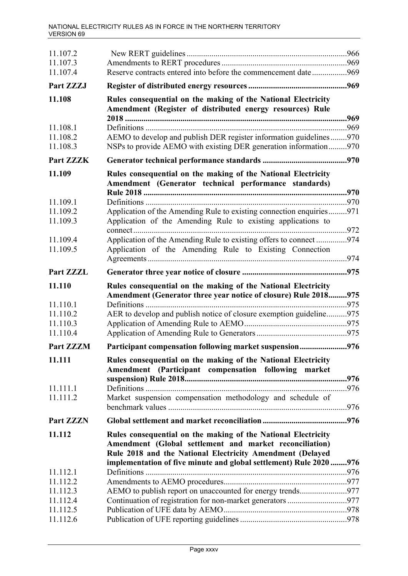| 11.107.2<br>11.107.3             |                                                                                                                                                                                       |      |
|----------------------------------|---------------------------------------------------------------------------------------------------------------------------------------------------------------------------------------|------|
| 11.107.4                         | Reserve contracts entered into before the commencement date 969                                                                                                                       |      |
| Part ZZZJ                        |                                                                                                                                                                                       |      |
| 11.108                           | Rules consequential on the making of the National Electricity<br>Amendment (Register of distributed energy resources) Rule                                                            | .969 |
| 11.108.1<br>11.108.2<br>11.108.3 | AEMO to develop and publish DER register information guidelines970<br>NSPs to provide AEMO with existing DER generation information970                                                |      |
| Part ZZZK                        |                                                                                                                                                                                       |      |
| 11.109                           | Rules consequential on the making of the National Electricity<br>Amendment (Generator technical performance standards)                                                                | .970 |
| 11.109.1                         |                                                                                                                                                                                       |      |
| 11.109.2<br>11.109.3             | Application of the Amending Rule to existing connection enquiries971<br>Application of the Amending Rule to existing applications to                                                  |      |
| 11.109.4<br>11.109.5             | Application of the Amending Rule to existing offers to connect974<br>Application of the Amending Rule to Existing Connection                                                          |      |
| Part ZZZL                        |                                                                                                                                                                                       |      |
| 11.110<br>11.110.1               | Rules consequential on the making of the National Electricity<br>Amendment (Generator three year notice of closure) Rule 2018975<br>Definitions                                       | 975  |
| 11.110.2<br>11.110.3<br>11.110.4 | AER to develop and publish notice of closure exemption guideline975                                                                                                                   |      |
| <b>Part ZZZM</b>                 | Participant compensation following market suspension976                                                                                                                               |      |
| 11.111                           | Rules consequential on the making of the National Electricity<br>Amendment (Participant compensation following market                                                                 |      |
| 11.111.1<br>11.111.2             | Market suspension compensation methodology and schedule of                                                                                                                            |      |
| <b>Part ZZZN</b>                 |                                                                                                                                                                                       |      |
| 11.112                           | Rules consequential on the making of the National Electricity<br>Amendment (Global settlement and market reconciliation)<br>Rule 2018 and the National Electricity Amendment (Delayed |      |
| 11.112.1                         | implementation of five minute and global settlement) Rule 2020 976                                                                                                                    |      |
| 11.112.2                         |                                                                                                                                                                                       |      |
| 11.112.3                         | AEMO to publish report on unaccounted for energy trends977                                                                                                                            |      |
| 11.112.4                         |                                                                                                                                                                                       |      |
| 11.112.5<br>11.112.6             |                                                                                                                                                                                       |      |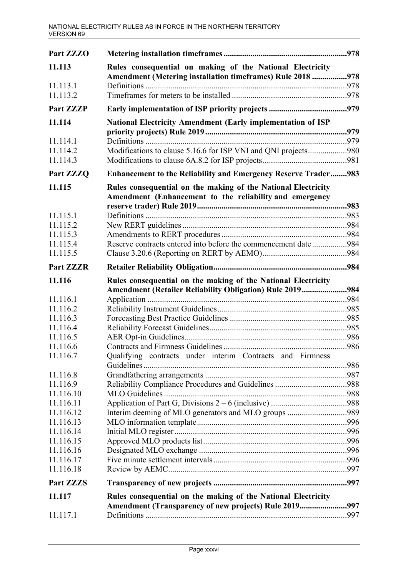| Part ZZZO            |                                                                                                                          |  |
|----------------------|--------------------------------------------------------------------------------------------------------------------------|--|
| 11.113               | Rules consequential on making of the National Electricity<br>Amendment (Metering installation timeframes) Rule 2018 978  |  |
| 11.113.1             |                                                                                                                          |  |
| 11.113.2             |                                                                                                                          |  |
| <b>Part ZZZP</b>     |                                                                                                                          |  |
| 11.114               | <b>National Electricity Amendment (Early implementation of ISP</b>                                                       |  |
| 11.114.1             |                                                                                                                          |  |
| 11.114.2             | Modifications to clause 5.16.6 for ISP VNI and QNI projects980                                                           |  |
| 11.114.3             |                                                                                                                          |  |
| Part ZZZQ            | <b>Enhancement to the Reliability and Emergency Reserve Trader983</b>                                                    |  |
| 11.115               | Rules consequential on the making of the National Electricity<br>Amendment (Enhancement to the reliability and emergency |  |
| 11.115.1             |                                                                                                                          |  |
| 11.115.2             |                                                                                                                          |  |
| 11.115.3             |                                                                                                                          |  |
| 11.115.4             | Reserve contracts entered into before the commencement date984                                                           |  |
| 11.115.5             |                                                                                                                          |  |
| <b>Part ZZZR</b>     |                                                                                                                          |  |
| 11.116               | Rules consequential on the making of the National Electricity                                                            |  |
|                      | Amendment (Retailer Reliability Obligation) Rule 2019984                                                                 |  |
| 11.116.1<br>11.116.2 |                                                                                                                          |  |
| 11.116.3             |                                                                                                                          |  |
| 11.116.4             |                                                                                                                          |  |
| 11.116.5             |                                                                                                                          |  |
| 11.116.6             |                                                                                                                          |  |
| 11.116.7             | Qualifying contracts under interim Contracts and Firmness                                                                |  |
|                      |                                                                                                                          |  |
| 11.116.8<br>11.116.9 |                                                                                                                          |  |
| 11.116.10            |                                                                                                                          |  |
| 11.116.11            |                                                                                                                          |  |
| 11.116.12            | Interim deeming of MLO generators and MLO groups 989                                                                     |  |
| 11.116.13            |                                                                                                                          |  |
| 11.116.14            |                                                                                                                          |  |
| 11.116.15            |                                                                                                                          |  |
| 11.116.16            |                                                                                                                          |  |
| 11.116.17            |                                                                                                                          |  |
| 11.116.18            |                                                                                                                          |  |
| <b>Part ZZZS</b>     |                                                                                                                          |  |
| 11.117               | Rules consequential on the making of the National Electricity<br>Amendment (Transparency of new projects) Rule 2019997   |  |
| 11.117.1             |                                                                                                                          |  |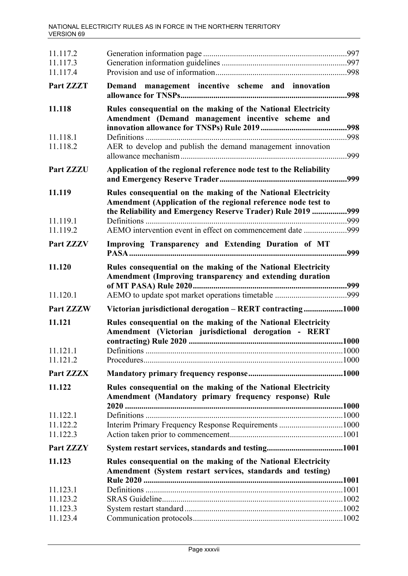| 11.117.2<br>11.117.3             |                                                                                                                                                                                           |             |
|----------------------------------|-------------------------------------------------------------------------------------------------------------------------------------------------------------------------------------------|-------------|
| 11.117.4<br>Part ZZZT            | Demand management incentive scheme and innovation                                                                                                                                         |             |
| 11.118                           | Rules consequential on the making of the National Electricity<br>Amendment (Demand management incentive scheme and                                                                        |             |
| 11.118.1<br>11.118.2             | AER to develop and publish the demand management innovation                                                                                                                               | 998<br>.999 |
| Part ZZZU                        | Application of the regional reference node test to the Reliability                                                                                                                        | .999        |
| 11.119                           | Rules consequential on the making of the National Electricity<br>Amendment (Application of the regional reference node test to<br>the Reliability and Emergency Reserve Trader) Rule 2019 | .999        |
| 11.119.1<br>11.119.2             | AEMO intervention event in effect on commencement date 999                                                                                                                                | 999         |
| Part ZZZV                        | Improving Transparency and Extending Duration of MT                                                                                                                                       | .999        |
| 11.120                           | Rules consequential on the making of the National Electricity<br>Amendment (Improving transparency and extending duration                                                                 |             |
| 11.120.1                         |                                                                                                                                                                                           |             |
| <b>Part ZZZW</b>                 | Victorian jurisdictional derogation - RERT contracting1000                                                                                                                                |             |
| 11.121                           | Rules consequential on the making of the National Electricity<br>Amendment (Victorian jurisdictional derogation - RERT                                                                    |             |
| 11.121.1<br>11.121.2             | Definitions                                                                                                                                                                               |             |
| <b>Part ZZZX</b>                 |                                                                                                                                                                                           |             |
| 11.122                           | Rules consequential on the making of the National Electricity<br>Amendment (Mandatory primary frequency response) Rule                                                                    |             |
| 11.122.1<br>11.122.2<br>11.122.3 |                                                                                                                                                                                           |             |
| <b>Part ZZZY</b>                 |                                                                                                                                                                                           |             |
| 11.123                           | Rules consequential on the making of the National Electricity<br>Amendment (System restart services, standards and testing)                                                               |             |
| 11.123.1                         |                                                                                                                                                                                           |             |
| 11.123.2                         |                                                                                                                                                                                           |             |
| 11.123.3<br>11.123.4             |                                                                                                                                                                                           |             |
|                                  |                                                                                                                                                                                           |             |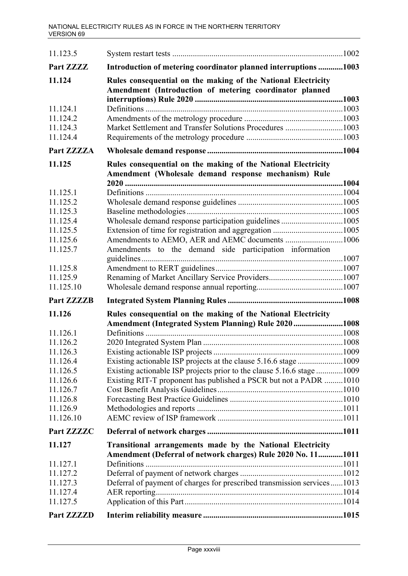| 11.123.5             |                                                                                                                            |       |
|----------------------|----------------------------------------------------------------------------------------------------------------------------|-------|
| Part ZZZZ            | Introduction of metering coordinator planned interruptions 1003                                                            |       |
| 11.124               | Rules consequential on the making of the National Electricity<br>Amendment (Introduction of metering coordinator planned   |       |
| 11.124.1             |                                                                                                                            |       |
| 11.124.2             |                                                                                                                            |       |
| 11.124.3             | Market Settlement and Transfer Solutions Procedures 1003                                                                   |       |
| 11.124.4             |                                                                                                                            |       |
| Part ZZZZA           |                                                                                                                            |       |
| 11.125               | Rules consequential on the making of the National Electricity<br>Amendment (Wholesale demand response mechanism) Rule      |       |
|                      |                                                                                                                            | .1004 |
| 11.125.1             |                                                                                                                            |       |
| 11.125.2             |                                                                                                                            |       |
| 11.125.3<br>11.125.4 | Wholesale demand response participation guidelines 1005                                                                    |       |
| 11.125.5             |                                                                                                                            |       |
| 11.125.6             | Amendments to AEMO, AER and AEMC documents 1006                                                                            |       |
| 11.125.7             | Amendments to the demand side participation information                                                                    |       |
| 11.125.8             |                                                                                                                            |       |
| 11.125.9             |                                                                                                                            |       |
| 11.125.10            |                                                                                                                            |       |
| <b>Part ZZZZB</b>    |                                                                                                                            |       |
| 11.126               | Rules consequential on the making of the National Electricity<br>Amendment (Integrated System Planning) Rule 2020 1008     |       |
| 11.126.1             |                                                                                                                            |       |
| 11.126.2             |                                                                                                                            |       |
| 11.126.3             | Existing actionable ISP projects                                                                                           | .1009 |
| 11.126.4             |                                                                                                                            |       |
| 11.126.5             | Existing actionable ISP projects prior to the clause 5.16.6 stage 1009                                                     |       |
| 11.126.6             | Existing RIT-T proponent has published a PSCR but not a PADR 1010                                                          |       |
| 11.126.7             |                                                                                                                            |       |
| 11.126.8             |                                                                                                                            |       |
| 11.126.9             |                                                                                                                            |       |
| 11.126.10            |                                                                                                                            |       |
| Part ZZZZC           |                                                                                                                            |       |
| 11.127               | Transitional arrangements made by the National Electricity<br>Amendment (Deferral of network charges) Rule 2020 No. 111011 |       |
| 11.127.1             |                                                                                                                            |       |
| 11.127.2             |                                                                                                                            |       |
| 11.127.3             | Deferral of payment of charges for prescribed transmission services1013                                                    |       |
| 11.127.4             |                                                                                                                            |       |
| 11.127.5             |                                                                                                                            |       |
| Part ZZZZD           |                                                                                                                            |       |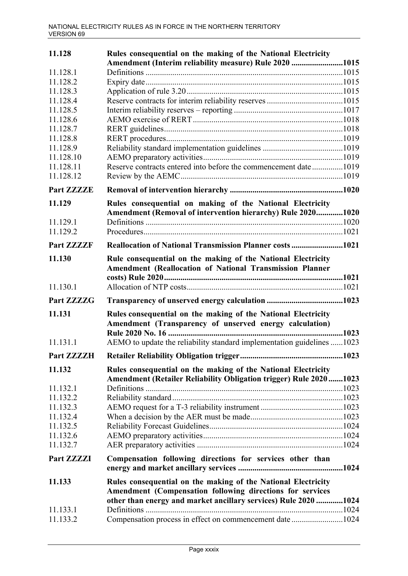| 11.128               | Rules consequential on the making of the National Electricity                                                            |      |
|----------------------|--------------------------------------------------------------------------------------------------------------------------|------|
|                      | Amendment (Interim reliability measure) Rule 2020 1015                                                                   |      |
| 11.128.1             |                                                                                                                          |      |
| 11.128.2             |                                                                                                                          |      |
| 11.128.3             |                                                                                                                          |      |
| 11.128.4             |                                                                                                                          |      |
| 11.128.5             |                                                                                                                          |      |
| 11.128.6             |                                                                                                                          |      |
| 11.128.7<br>11.128.8 |                                                                                                                          |      |
| 11.128.9             |                                                                                                                          |      |
| 11.128.10            |                                                                                                                          |      |
| 11.128.11            | Reserve contracts entered into before the commencement date1019                                                          |      |
| 11.128.12            |                                                                                                                          |      |
| <b>Part ZZZZE</b>    |                                                                                                                          |      |
| 11.129               | Rules consequential on making of the National Electricity                                                                |      |
|                      | Amendment (Removal of intervention hierarchy) Rule 20201020                                                              |      |
| 11.129.1             |                                                                                                                          |      |
| 11.129.2             |                                                                                                                          |      |
| <b>Part ZZZZF</b>    | <b>Reallocation of National Transmission Planner costs 1021</b>                                                          |      |
| 11.130               | Rule consequential on the making of the National Electricity<br>Amendment (Reallocation of National Transmission Planner |      |
| 11.130.1             |                                                                                                                          |      |
| Part ZZZZG           |                                                                                                                          |      |
| 11.131               | Rules consequential on the making of the National Electricity<br>Amendment (Transparency of unserved energy calculation) |      |
| 11.131.1             | AEMO to update the reliability standard implementation guidelines 1023                                                   |      |
|                      |                                                                                                                          |      |
| 11.132               | Rules consequential on the making of the National Electricity                                                            |      |
|                      | <b>Amendment (Retailer Reliability Obligation trigger) Rule 20201023</b>                                                 |      |
| 11.132.1             |                                                                                                                          |      |
| 11.132.2             |                                                                                                                          |      |
| 11.132.3             |                                                                                                                          |      |
| 11.132.4             |                                                                                                                          |      |
| 11.132.5             |                                                                                                                          |      |
| 11.132.6             |                                                                                                                          |      |
| 11.132.7             |                                                                                                                          |      |
| Part ZZZZI           | Compensation following directions for services other than                                                                |      |
| 11.133               | Rules consequential on the making of the National Electricity                                                            |      |
|                      | Amendment (Compensation following directions for services                                                                |      |
|                      | other than energy and market ancillary services) Rule 2020                                                               | 1024 |
| 11.133.1             |                                                                                                                          |      |
| 11.133.2             | Compensation process in effect on commencement date 1024                                                                 |      |